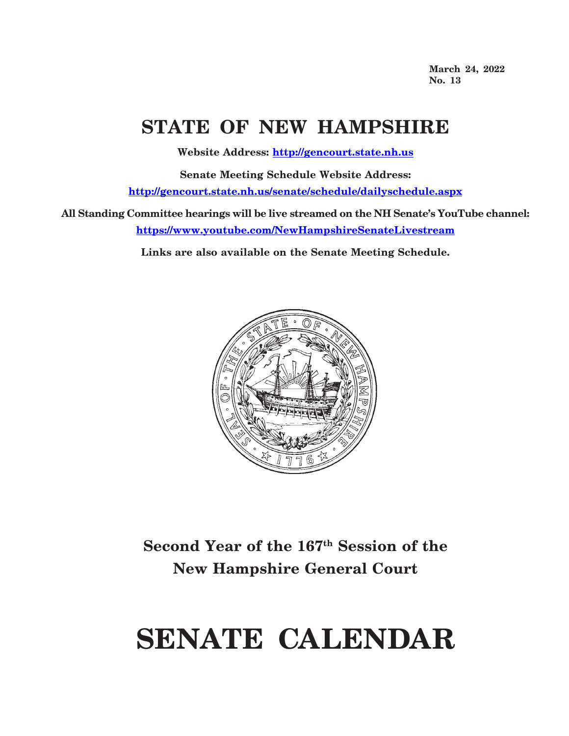**March 24, 2022 No. 13**

## **STATE OF NEW HAMPSHIRE**

**Website Address: http://gencourt.state.nh.us**

**Senate Meeting Schedule Website Address: http://gencourt.state.nh.us/senate/schedule/dailyschedule.aspx**

**All Standing Committee hearings will be live streamed on the NH Senate's YouTube channel: https://www.youtube.com/NewHampshireSenateLivestream**

**Links are also available on the Senate Meeting Schedule.**



## **Second Year of the 167th Session of the New Hampshire General Court**

# **SENATE CALENDAR**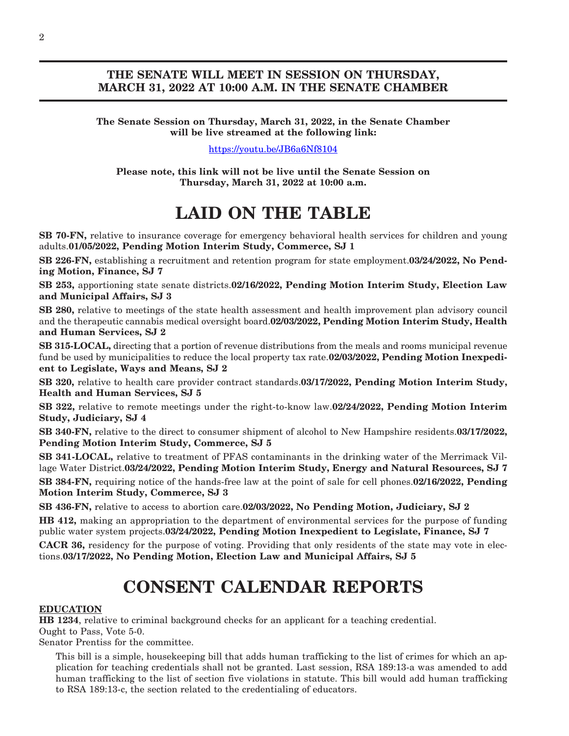### **THE SENATE WILL MEET IN SESSION ON THURSDAY, MARCH 31, 2022 AT 10:00 A.M. IN THE SENATE CHAMBER**

#### **The Senate Session on Thursday, March 31, 2022, in the Senate Chamber will be live streamed at the following link:**

#### [https://youtu.be/JB6a6Nf8104](https://us-east-2.protection.sophos.com?d=youtu.be&u=aHR0cHM6Ly95b3V0dS5iZS9KQjZhNk5mODEwNA==&i=NWRlZTRlM2YzYjRhNTgwZDk2OTJkMTkz&t=Umo1aDFwcnZIdWJsd09RYnhwMWdOVWlzclhnRXA2WGFPVXd0VDZwUUliTT0=&h=4d723d1da33346569b238ec6ba409c7a)

**Please note, this link will not be live until the Senate Session on Thursday, March 31, 2022 at 10:00 a.m.**

## **LAID ON THE TABLE**

**SB 70-FN,** relative to insurance coverage for emergency behavioral health services for children and young adults.**01/05/2022, Pending Motion Interim Study, Commerce, SJ 1**

**SB 226-FN,** establishing a recruitment and retention program for state employment.**03/24/2022, No Pending Motion, Finance, SJ 7**

**SB 253,** apportioning state senate districts.**02/16/2022, Pending Motion Interim Study, Election Law and Municipal Affairs, SJ 3**

**SB 280,** relative to meetings of the state health assessment and health improvement plan advisory council and the therapeutic cannabis medical oversight board.**02/03/2022, Pending Motion Interim Study, Health and Human Services, SJ 2**

**SB 315-LOCAL,** directing that a portion of revenue distributions from the meals and rooms municipal revenue fund be used by municipalities to reduce the local property tax rate.**02/03/2022, Pending Motion Inexpedient to Legislate, Ways and Means, SJ 2**

**SB 320,** relative to health care provider contract standards.**03/17/2022, Pending Motion Interim Study, Health and Human Services, SJ 5**

**SB 322,** relative to remote meetings under the right-to-know law.**02/24/2022, Pending Motion Interim Study, Judiciary, SJ 4**

**SB 340-FN,** relative to the direct to consumer shipment of alcohol to New Hampshire residents.**03/17/2022, Pending Motion Interim Study, Commerce, SJ 5**

**SB 341-LOCAL,** relative to treatment of PFAS contaminants in the drinking water of the Merrimack Village Water District.**03/24/2022, Pending Motion Interim Study, Energy and Natural Resources, SJ 7**

**SB 384-FN,** requiring notice of the hands-free law at the point of sale for cell phones.**02/16/2022, Pending Motion Interim Study, Commerce, SJ 3**

**SB 436-FN,** relative to access to abortion care.**02/03/2022, No Pending Motion, Judiciary, SJ 2**

**HB 412,** making an appropriation to the department of environmental services for the purpose of funding public water system projects.**03/24/2022, Pending Motion Inexpedient to Legislate, Finance, SJ 7**

**CACR 36,** residency for the purpose of voting. Providing that only residents of the state may vote in elections.**03/17/2022, No Pending Motion, Election Law and Municipal Affairs, SJ 5**

## **CONSENT CALENDAR REPORTS**

#### **EDUCATION**

**HB 1234**, relative to criminal background checks for an applicant for a teaching credential.

Ought to Pass, Vote 5-0.

Senator Prentiss for the committee.

This bill is a simple, housekeeping bill that adds human trafficking to the list of crimes for which an application for teaching credentials shall not be granted. Last session, RSA 189:13-a was amended to add human trafficking to the list of section five violations in statute. This bill would add human trafficking to RSA 189:13-c, the section related to the credentialing of educators.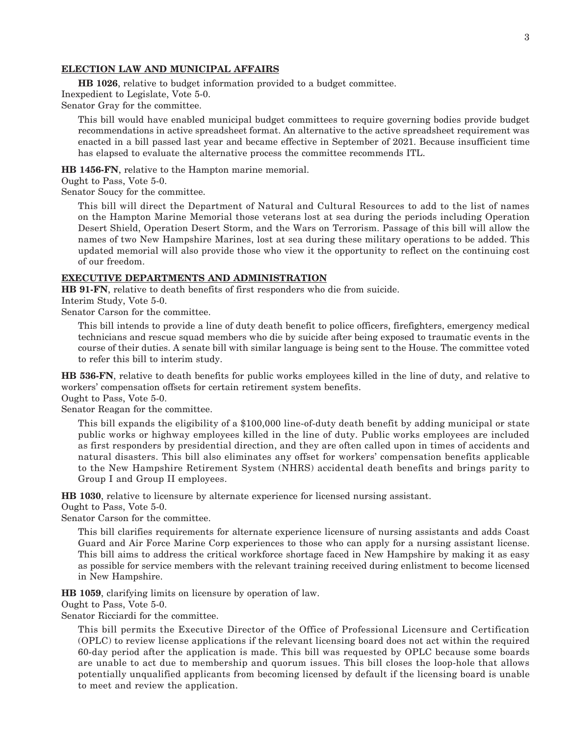#### 3

#### **ELECTION LAW AND MUNICIPAL AFFAIRS**

**HB 1026**, relative to budget information provided to a budget committee.

Inexpedient to Legislate, Vote 5-0.

Senator Gray for the committee.

This bill would have enabled municipal budget committees to require governing bodies provide budget recommendations in active spreadsheet format. An alternative to the active spreadsheet requirement was enacted in a bill passed last year and became effective in September of 2021. Because insufficient time has elapsed to evaluate the alternative process the committee recommends ITL.

**HB 1456-FN**, relative to the Hampton marine memorial.

Ought to Pass, Vote 5-0.

Senator Soucy for the committee.

This bill will direct the Department of Natural and Cultural Resources to add to the list of names on the Hampton Marine Memorial those veterans lost at sea during the periods including Operation Desert Shield, Operation Desert Storm, and the Wars on Terrorism. Passage of this bill will allow the names of two New Hampshire Marines, lost at sea during these military operations to be added. This updated memorial will also provide those who view it the opportunity to reflect on the continuing cost of our freedom.

#### **EXECUTIVE DEPARTMENTS AND ADMINISTRATION**

**HB 91-FN**, relative to death benefits of first responders who die from suicide.

Interim Study, Vote 5-0.

Senator Carson for the committee.

This bill intends to provide a line of duty death benefit to police officers, firefighters, emergency medical technicians and rescue squad members who die by suicide after being exposed to traumatic events in the course of their duties. A senate bill with similar language is being sent to the House. The committee voted to refer this bill to interim study.

**HB 536-FN**, relative to death benefits for public works employees killed in the line of duty, and relative to workers' compensation offsets for certain retirement system benefits.

Ought to Pass, Vote 5-0.

Senator Reagan for the committee.

This bill expands the eligibility of a \$100,000 line-of-duty death benefit by adding municipal or state public works or highway employees killed in the line of duty. Public works employees are included as first responders by presidential direction, and they are often called upon in times of accidents and natural disasters. This bill also eliminates any offset for workers' compensation benefits applicable to the New Hampshire Retirement System (NHRS) accidental death benefits and brings parity to Group I and Group II employees.

**HB 1030**, relative to licensure by alternate experience for licensed nursing assistant.

Ought to Pass, Vote 5-0.

Senator Carson for the committee.

This bill clarifies requirements for alternate experience licensure of nursing assistants and adds Coast Guard and Air Force Marine Corp experiences to those who can apply for a nursing assistant license. This bill aims to address the critical workforce shortage faced in New Hampshire by making it as easy as possible for service members with the relevant training received during enlistment to become licensed in New Hampshire.

**HB 1059**, clarifying limits on licensure by operation of law.

Ought to Pass, Vote 5-0.

Senator Ricciardi for the committee.

This bill permits the Executive Director of the Office of Professional Licensure and Certification (OPLC) to review license applications if the relevant licensing board does not act within the required 60-day period after the application is made. This bill was requested by OPLC because some boards are unable to act due to membership and quorum issues. This bill closes the loop-hole that allows potentially unqualified applicants from becoming licensed by default if the licensing board is unable to meet and review the application.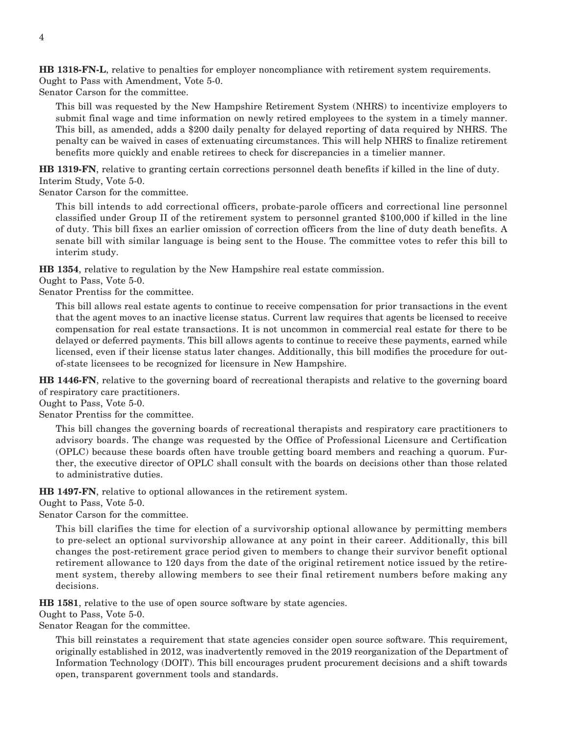**HB 1318-FN-L**, relative to penalties for employer noncompliance with retirement system requirements. Ought to Pass with Amendment, Vote 5-0.

Senator Carson for the committee.

This bill was requested by the New Hampshire Retirement System (NHRS) to incentivize employers to submit final wage and time information on newly retired employees to the system in a timely manner. This bill, as amended, adds a \$200 daily penalty for delayed reporting of data required by NHRS. The penalty can be waived in cases of extenuating circumstances. This will help NHRS to finalize retirement benefits more quickly and enable retirees to check for discrepancies in a timelier manner.

**HB 1319-FN**, relative to granting certain corrections personnel death benefits if killed in the line of duty. Interim Study, Vote 5-0.

Senator Carson for the committee.

This bill intends to add correctional officers, probate-parole officers and correctional line personnel classified under Group II of the retirement system to personnel granted \$100,000 if killed in the line of duty. This bill fixes an earlier omission of correction officers from the line of duty death benefits. A senate bill with similar language is being sent to the House. The committee votes to refer this bill to interim study.

**HB 1354**, relative to regulation by the New Hampshire real estate commission.

Ought to Pass, Vote 5-0.

Senator Prentiss for the committee.

This bill allows real estate agents to continue to receive compensation for prior transactions in the event that the agent moves to an inactive license status. Current law requires that agents be licensed to receive compensation for real estate transactions. It is not uncommon in commercial real estate for there to be delayed or deferred payments. This bill allows agents to continue to receive these payments, earned while licensed, even if their license status later changes. Additionally, this bill modifies the procedure for outof-state licensees to be recognized for licensure in New Hampshire.

**HB 1446-FN**, relative to the governing board of recreational therapists and relative to the governing board of respiratory care practitioners.

Ought to Pass, Vote 5-0.

Senator Prentiss for the committee.

This bill changes the governing boards of recreational therapists and respiratory care practitioners to advisory boards. The change was requested by the Office of Professional Licensure and Certification (OPLC) because these boards often have trouble getting board members and reaching a quorum. Further, the executive director of OPLC shall consult with the boards on decisions other than those related to administrative duties.

**HB 1497-FN**, relative to optional allowances in the retirement system.

Ought to Pass, Vote 5-0.

Senator Carson for the committee.

This bill clarifies the time for election of a survivorship optional allowance by permitting members to pre-select an optional survivorship allowance at any point in their career. Additionally, this bill changes the post-retirement grace period given to members to change their survivor benefit optional retirement allowance to 120 days from the date of the original retirement notice issued by the retirement system, thereby allowing members to see their final retirement numbers before making any decisions.

**HB 1581**, relative to the use of open source software by state agencies.

Ought to Pass, Vote 5-0.

Senator Reagan for the committee.

This bill reinstates a requirement that state agencies consider open source software. This requirement, originally established in 2012, was inadvertently removed in the 2019 reorganization of the Department of Information Technology (DOIT). This bill encourages prudent procurement decisions and a shift towards open, transparent government tools and standards.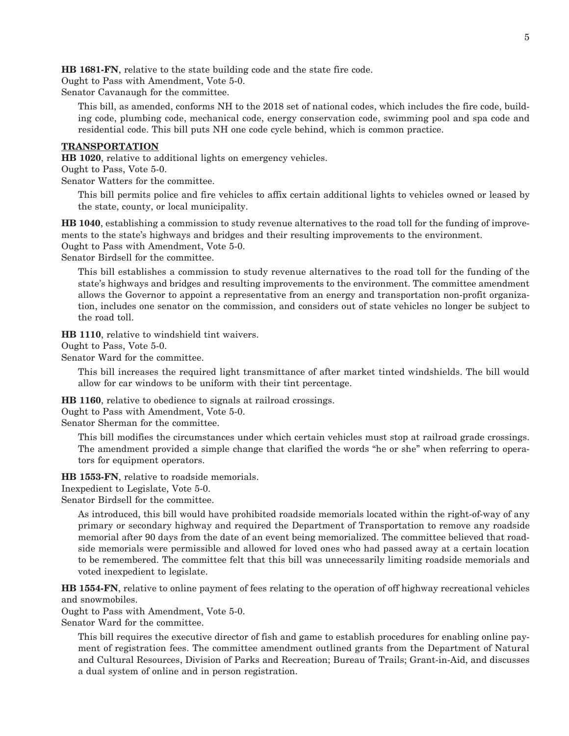**HB 1681-FN**, relative to the state building code and the state fire code.

Ought to Pass with Amendment, Vote 5-0.

Senator Cavanaugh for the committee.

This bill, as amended, conforms NH to the 2018 set of national codes, which includes the fire code, building code, plumbing code, mechanical code, energy conservation code, swimming pool and spa code and residential code. This bill puts NH one code cycle behind, which is common practice.

#### **TRANSPORTATION**

**HB 1020**, relative to additional lights on emergency vehicles.

Ought to Pass, Vote 5-0.

Senator Watters for the committee.

This bill permits police and fire vehicles to affix certain additional lights to vehicles owned or leased by the state, county, or local municipality.

**HB 1040**, establishing a commission to study revenue alternatives to the road toll for the funding of improvements to the state's highways and bridges and their resulting improvements to the environment. Ought to Pass with Amendment, Vote 5-0.

Senator Birdsell for the committee.

This bill establishes a commission to study revenue alternatives to the road toll for the funding of the state's highways and bridges and resulting improvements to the environment. The committee amendment allows the Governor to appoint a representative from an energy and transportation non-profit organization, includes one senator on the commission, and considers out of state vehicles no longer be subject to the road toll.

**HB 1110**, relative to windshield tint waivers.

Ought to Pass, Vote 5-0.

Senator Ward for the committee.

This bill increases the required light transmittance of after market tinted windshields. The bill would allow for car windows to be uniform with their tint percentage.

**HB 1160**, relative to obedience to signals at railroad crossings.

Ought to Pass with Amendment, Vote 5-0.

Senator Sherman for the committee.

This bill modifies the circumstances under which certain vehicles must stop at railroad grade crossings. The amendment provided a simple change that clarified the words "he or she" when referring to operators for equipment operators.

**HB 1553-FN**, relative to roadside memorials.

Inexpedient to Legislate, Vote 5-0.

Senator Birdsell for the committee.

As introduced, this bill would have prohibited roadside memorials located within the right-of-way of any primary or secondary highway and required the Department of Transportation to remove any roadside memorial after 90 days from the date of an event being memorialized. The committee believed that roadside memorials were permissible and allowed for loved ones who had passed away at a certain location to be remembered. The committee felt that this bill was unnecessarily limiting roadside memorials and voted inexpedient to legislate.

**HB 1554-FN**, relative to online payment of fees relating to the operation of off highway recreational vehicles and snowmobiles.

Ought to Pass with Amendment, Vote 5-0.

Senator Ward for the committee.

This bill requires the executive director of fish and game to establish procedures for enabling online payment of registration fees. The committee amendment outlined grants from the Department of Natural and Cultural Resources, Division of Parks and Recreation; Bureau of Trails; Grant-in-Aid, and discusses a dual system of online and in person registration.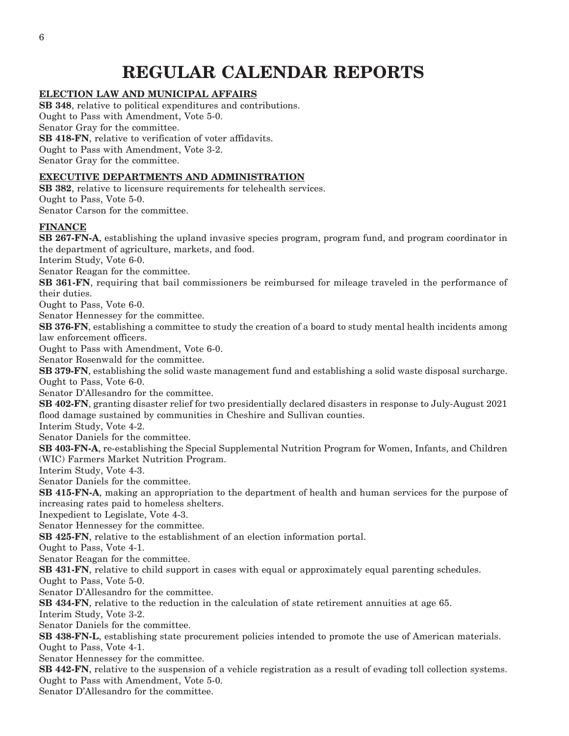## **REGULAR CALENDAR REPORTS**

#### **ELECTION LAW AND MUNICIPAL AFFAIRS**

**SB 348**, relative to political expenditures and contributions. Ought to Pass with Amendment, Vote 5-0. Senator Gray for the committee. **SB 418-FN**, relative to verification of voter affidavits. Ought to Pass with Amendment, Vote 3-2. Senator Gray for the committee.

#### **EXECUTIVE DEPARTMENTS AND ADMINISTRATION**

**SB 382**, relative to licensure requirements for telehealth services. Ought to Pass, Vote 5-0. Senator Carson for the committee. **FINANCE SB 267-FN-A**, establishing the upland invasive species program, program fund, and program coordinator in the department of agriculture, markets, and food. Interim Study, Vote 6-0. Senator Reagan for the committee. **SB 361-FN**, requiring that bail commissioners be reimbursed for mileage traveled in the performance of their duties. Ought to Pass, Vote 6-0. Senator Hennessey for the committee. **SB 376-FN**, establishing a committee to study the creation of a board to study mental health incidents among law enforcement officers. Ought to Pass with Amendment, Vote 6-0. Senator Rosenwald for the committee. **SB 379-FN**, establishing the solid waste management fund and establishing a solid waste disposal surcharge. Ought to Pass, Vote 6-0. Senator D'Allesandro for the committee. **SB 402-FN**, granting disaster relief for two presidentially declared disasters in response to July-August 2021 flood damage sustained by communities in Cheshire and Sullivan counties. Interim Study, Vote 4-2. Senator Daniels for the committee. **SB 403-FN-A**, re-establishing the Special Supplemental Nutrition Program for Women, Infants, and Children (WIC) Farmers Market Nutrition Program. Interim Study, Vote 4-3. Senator Daniels for the committee. **SB 415-FN-A**, making an appropriation to the department of health and human services for the purpose of increasing rates paid to homeless shelters. Inexpedient to Legislate, Vote 4-3. Senator Hennessey for the committee. **SB 425-FN**, relative to the establishment of an election information portal. Ought to Pass, Vote 4-1. Senator Reagan for the committee. **SB 431-FN**, relative to child support in cases with equal or approximately equal parenting schedules. Ought to Pass, Vote 5-0. Senator D'Allesandro for the committee. **SB 434-FN**, relative to the reduction in the calculation of state retirement annuities at age 65. Interim Study, Vote 3-2. Senator Daniels for the committee. **SB 438-FN-L**, establishing state procurement policies intended to promote the use of American materials. Ought to Pass, Vote 4-1. Senator Hennessey for the committee. **SB 442-FN**, relative to the suspension of a vehicle registration as a result of evading toll collection systems. Ought to Pass with Amendment, Vote 5-0. Senator D'Allesandro for the committee.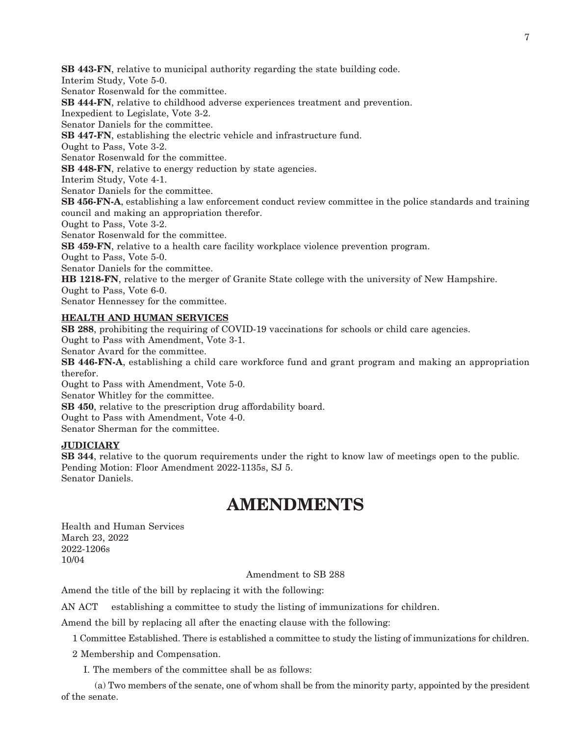**SB 443-FN**, relative to municipal authority regarding the state building code.

Interim Study, Vote 5-0.

Senator Rosenwald for the committee.

**SB 444-FN**, relative to childhood adverse experiences treatment and prevention.

Inexpedient to Legislate, Vote 3-2.

Senator Daniels for the committee.

**SB 447-FN**, establishing the electric vehicle and infrastructure fund.

Ought to Pass, Vote 3-2.

Senator Rosenwald for the committee.

**SB 448-FN**, relative to energy reduction by state agencies.

Interim Study, Vote 4-1.

Senator Daniels for the committee.

**SB 456-FN-A**, establishing a law enforcement conduct review committee in the police standards and training council and making an appropriation therefor.

Ought to Pass, Vote 3-2.

Senator Rosenwald for the committee.

**SB 459-FN**, relative to a health care facility workplace violence prevention program.

Ought to Pass, Vote 5-0.

Senator Daniels for the committee.

**HB 1218-FN**, relative to the merger of Granite State college with the university of New Hampshire. Ought to Pass, Vote 6-0.

Senator Hennessey for the committee.

#### **HEALTH AND HUMAN SERVICES**

**SB 288**, prohibiting the requiring of COVID-19 vaccinations for schools or child care agencies. Ought to Pass with Amendment, Vote 3-1.

Senator Avard for the committee.

**SB 446-FN-A**, establishing a child care workforce fund and grant program and making an appropriation therefor.

Ought to Pass with Amendment, Vote 5-0.

Senator Whitley for the committee.

**SB 450**, relative to the prescription drug affordability board.

Ought to Pass with Amendment, Vote 4-0.

Senator Sherman for the committee.

#### **JUDICIARY**

**SB 344**, relative to the quorum requirements under the right to know law of meetings open to the public. Pending Motion: Floor Amendment 2022-1135s, SJ 5. Senator Daniels.

## **AMENDMENTS**

Health and Human Services March 23, 2022 2022-1206s 10/04

Amendment to SB 288

Amend the title of the bill by replacing it with the following:

AN ACT establishing a committee to study the listing of immunizations for children.

Amend the bill by replacing all after the enacting clause with the following:

1 Committee Established. There is established a committee to study the listing of immunizations for children.

2 Membership and Compensation.

I. The members of the committee shall be as follows:

 (a) Two members of the senate, one of whom shall be from the minority party, appointed by the president of the senate.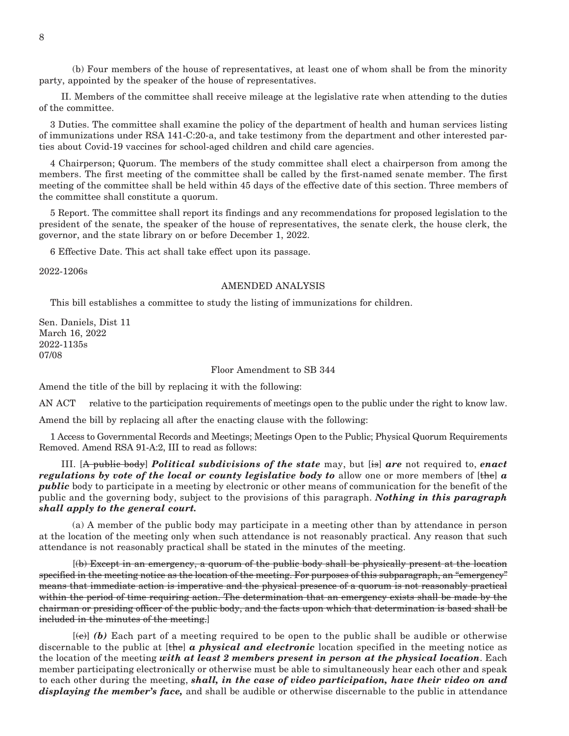(b) Four members of the house of representatives, at least one of whom shall be from the minority party, appointed by the speaker of the house of representatives.

 II. Members of the committee shall receive mileage at the legislative rate when attending to the duties of the committee.

3 Duties. The committee shall examine the policy of the department of health and human services listing of immunizations under RSA 141-C:20-a, and take testimony from the department and other interested parties about Covid-19 vaccines for school-aged children and child care agencies.

4 Chairperson; Quorum. The members of the study committee shall elect a chairperson from among the members. The first meeting of the committee shall be called by the first-named senate member. The first meeting of the committee shall be held within 45 days of the effective date of this section. Three members of the committee shall constitute a quorum.

5 Report. The committee shall report its findings and any recommendations for proposed legislation to the president of the senate, the speaker of the house of representatives, the senate clerk, the house clerk, the governor, and the state library on or before December 1, 2022.

6 Effective Date. This act shall take effect upon its passage.

2022-1206s

#### AMENDED ANALYSIS

This bill establishes a committee to study the listing of immunizations for children.

Sen. Daniels, Dist 11 March 16, 2022 2022-1135s 07/08

#### Floor Amendment to SB 344

Amend the title of the bill by replacing it with the following:

AN ACT relative to the participation requirements of meetings open to the public under the right to know law.

Amend the bill by replacing all after the enacting clause with the following:

1 Access to Governmental Records and Meetings; Meetings Open to the Public; Physical Quorum Requirements Removed. Amend RSA 91-A:2, III to read as follows:

 III. [A public body] *Political subdivisions of the state* may, but [is] *are* not required to, *enact regulations by vote of the local or county legislative body to allow one or more members of [the] a public* body to participate in a meeting by electronic or other means of communication for the benefit of the public and the governing body, subject to the provisions of this paragraph. *Nothing in this paragraph shall apply to the general court.*

 (a) A member of the public body may participate in a meeting other than by attendance in person at the location of the meeting only when such attendance is not reasonably practical. Any reason that such attendance is not reasonably practical shall be stated in the minutes of the meeting.

 [(b) Except in an emergency, a quorum of the public body shall be physically present at the location specified in the meeting notice as the location of the meeting. For purposes of this subparagraph, an "emergency" means that immediate action is imperative and the physical presence of a quorum is not reasonably practical within the period of time requiring action. The determination that an emergency exists shall be made by the chairman or presiding officer of the public body, and the facts upon which that determination is based shall be included in the minutes of the meeting.]

 [(c)] *(b)* Each part of a meeting required to be open to the public shall be audible or otherwise discernable to the public at [the] *a physical and electronic* location specified in the meeting notice as the location of the meeting *with at least 2 members present in person at the physical location*. Each member participating electronically or otherwise must be able to simultaneously hear each other and speak to each other during the meeting, *shall, in the case of video participation, have their video on and displaying the member's face,* and shall be audible or otherwise discernable to the public in attendance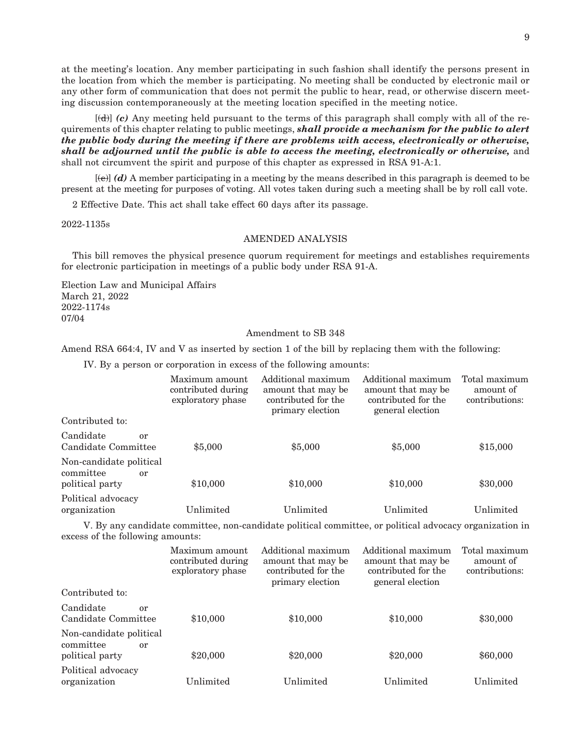at the meeting's location. Any member participating in such fashion shall identify the persons present in the location from which the member is participating. No meeting shall be conducted by electronic mail or any other form of communication that does not permit the public to hear, read, or otherwise discern meeting discussion contemporaneously at the meeting location specified in the meeting notice.

 [(d)] *(c)* Any meeting held pursuant to the terms of this paragraph shall comply with all of the requirements of this chapter relating to public meetings, *shall provide a mechanism for the public to alert the public body during the meeting if there are problems with access, electronically or otherwise, shall be adjourned until the public is able to access the meeting, electronically or otherwise,* and shall not circumvent the spirit and purpose of this chapter as expressed in RSA 91-A:1.

 [(e)] *(d)* A member participating in a meeting by the means described in this paragraph is deemed to be present at the meeting for purposes of voting. All votes taken during such a meeting shall be by roll call vote.

2 Effective Date. This act shall take effect 60 days after its passage.

2022-1135s

#### AMENDED ANALYSIS

This bill removes the physical presence quorum requirement for meetings and establishes requirements for electronic participation in meetings of a public body under RSA 91-A.

Election Law and Municipal Affairs March 21, 2022 2022-1174s 07/04

#### Amendment to SB 348

Amend RSA 664:4, IV and V as inserted by section 1 of the bill by replacing them with the following:

IV. By a person or corporation in excess of the following amounts:

|                                                               | Maximum amount<br>contributed during<br>exploratory phase | Additional maximum<br>amount that may be<br>contributed for the<br>primary election | Additional maximum<br>amount that may be<br>contributed for the<br>general election | Total maximum<br>amount of<br>contributions: |
|---------------------------------------------------------------|-----------------------------------------------------------|-------------------------------------------------------------------------------------|-------------------------------------------------------------------------------------|----------------------------------------------|
| Contributed to:                                               |                                                           |                                                                                     |                                                                                     |                                              |
| Candidate<br>or<br>Candidate Committee                        | \$5,000                                                   | \$5,000                                                                             | \$5,000                                                                             | \$15,000                                     |
| Non-candidate political<br>committee<br>or<br>political party | \$10,000                                                  | \$10,000                                                                            | \$10,000                                                                            | \$30,000                                     |
| Political advocacy<br>organization                            | $\rm Unlimited$                                           | Unlimited                                                                           | Unlimited                                                                           | Unlimited                                    |

 V. By any candidate committee, non-candidate political committee, or political advocacy organization in excess of the following amounts:

|                                                               | Maximum amount<br>contributed during<br>exploratory phase | Additional maximum<br>amount that may be<br>contributed for the<br>primary election | Additional maximum<br>amount that may be<br>contributed for the<br>general election | Total maximum<br>amount of<br>contributions: |
|---------------------------------------------------------------|-----------------------------------------------------------|-------------------------------------------------------------------------------------|-------------------------------------------------------------------------------------|----------------------------------------------|
| Contributed to:                                               |                                                           |                                                                                     |                                                                                     |                                              |
| Candidate<br>$\alpha r$<br>Candidate Committee                | \$10,000                                                  | \$10,000                                                                            | \$10,000                                                                            | \$30,000                                     |
| Non-candidate political<br>committee<br>or<br>political party | \$20,000                                                  | \$20,000                                                                            | \$20,000                                                                            | \$60,000                                     |
| Political advocacy<br>organization                            | $\rm Unlimited$                                           | Unlimited                                                                           | Unlimited                                                                           | Unlimited                                    |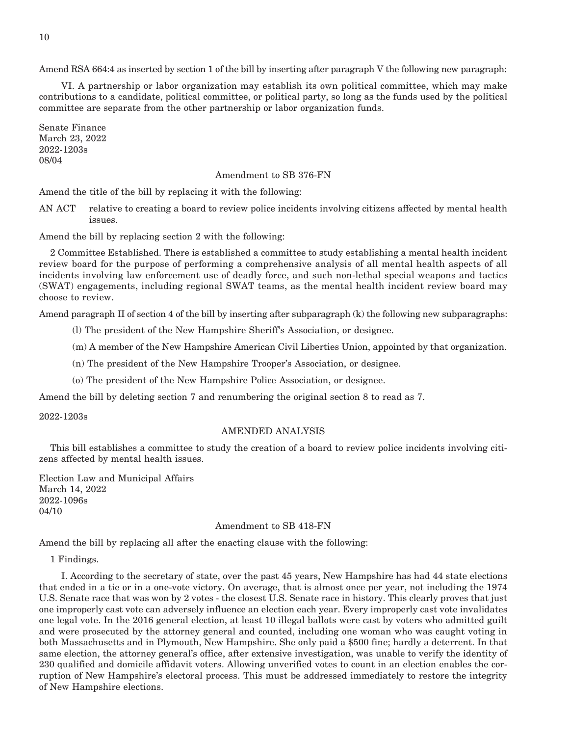Amend RSA 664:4 as inserted by section 1 of the bill by inserting after paragraph V the following new paragraph:

 VI. A partnership or labor organization may establish its own political committee, which may make contributions to a candidate, political committee, or political party, so long as the funds used by the political committee are separate from the other partnership or labor organization funds.

Senate Finance March 23, 2022 2022-1203s 08/04

#### Amendment to SB 376-FN

Amend the title of the bill by replacing it with the following:

AN ACT relative to creating a board to review police incidents involving citizens affected by mental health issues.

Amend the bill by replacing section 2 with the following:

2 Committee Established. There is established a committee to study establishing a mental health incident review board for the purpose of performing a comprehensive analysis of all mental health aspects of all incidents involving law enforcement use of deadly force, and such non-lethal special weapons and tactics (SWAT) engagements, including regional SWAT teams, as the mental health incident review board may choose to review.

Amend paragraph II of section 4 of the bill by inserting after subparagraph (k) the following new subparagraphs:

(l) The president of the New Hampshire Sheriff's Association, or designee.

(m) A member of the New Hampshire American Civil Liberties Union, appointed by that organization.

(n) The president of the New Hampshire Trooper's Association, or designee.

(o) The president of the New Hampshire Police Association, or designee.

Amend the bill by deleting section 7 and renumbering the original section 8 to read as 7.

2022-1203s

#### AMENDED ANALYSIS

This bill establishes a committee to study the creation of a board to review police incidents involving citizens affected by mental health issues.

Election Law and Municipal Affairs March 14, 2022 2022-1096s 04/10

#### Amendment to SB 418-FN

Amend the bill by replacing all after the enacting clause with the following:

1 Findings.

 I. According to the secretary of state, over the past 45 years, New Hampshire has had 44 state elections that ended in a tie or in a one-vote victory. On average, that is almost once per year, not including the 1974 U.S. Senate race that was won by 2 votes - the closest U.S. Senate race in history. This clearly proves that just one improperly cast vote can adversely influence an election each year. Every improperly cast vote invalidates one legal vote. In the 2016 general election, at least 10 illegal ballots were cast by voters who admitted guilt and were prosecuted by the attorney general and counted, including one woman who was caught voting in both Massachusetts and in Plymouth, New Hampshire. She only paid a \$500 fine; hardly a deterrent. In that same election, the attorney general's office, after extensive investigation, was unable to verify the identity of 230 qualified and domicile affidavit voters. Allowing unverified votes to count in an election enables the corruption of New Hampshire's electoral process. This must be addressed immediately to restore the integrity of New Hampshire elections.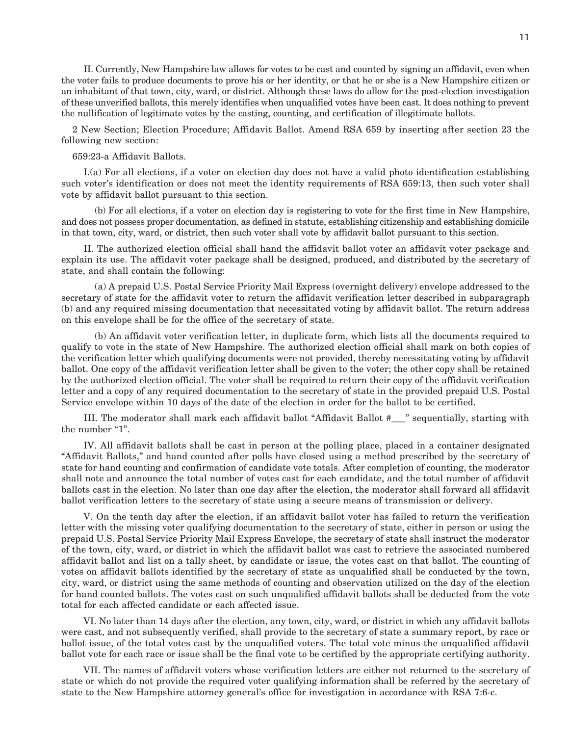II. Currently, New Hampshire law allows for votes to be cast and counted by signing an affidavit, even when the voter fails to produce documents to prove his or her identity, or that he or she is a New Hampshire citizen or an inhabitant of that town, city, ward, or district. Although these laws do allow for the post-election investigation of these unverified ballots, this merely identifies when unqualified votes have been cast. It does nothing to prevent the nullification of legitimate votes by the casting, counting, and certification of illegitimate ballots.

2 New Section; Election Procedure; Affidavit Ballot. Amend RSA 659 by inserting after section 23 the following new section:

#### 659:23-a Affidavit Ballots.

 I.(a) For all elections, if a voter on election day does not have a valid photo identification establishing such voter's identification or does not meet the identity requirements of RSA 659:13, then such voter shall vote by affidavit ballot pursuant to this section.

 (b) For all elections, if a voter on election day is registering to vote for the first time in New Hampshire, and does not possess proper documentation, as defined in statute, establishing citizenship and establishing domicile in that town, city, ward, or district, then such voter shall vote by affidavit ballot pursuant to this section.

 II. The authorized election official shall hand the affidavit ballot voter an affidavit voter package and explain its use. The affidavit voter package shall be designed, produced, and distributed by the secretary of state, and shall contain the following:

 (a) A prepaid U.S. Postal Service Priority Mail Express (overnight delivery) envelope addressed to the secretary of state for the affidavit voter to return the affidavit verification letter described in subparagraph (b) and any required missing documentation that necessitated voting by affidavit ballot. The return address on this envelope shall be for the office of the secretary of state.

 (b) An affidavit voter verification letter, in duplicate form, which lists all the documents required to qualify to vote in the state of New Hampshire. The authorized election official shall mark on both copies of the verification letter which qualifying documents were not provided, thereby necessitating voting by affidavit ballot. One copy of the affidavit verification letter shall be given to the voter; the other copy shall be retained by the authorized election official. The voter shall be required to return their copy of the affidavit verification letter and a copy of any required documentation to the secretary of state in the provided prepaid U.S. Postal Service envelope within 10 days of the date of the election in order for the ballot to be certified.

 III. The moderator shall mark each affidavit ballot "Affidavit Ballot #\_\_\_" sequentially, starting with the number "1".

 IV. All affidavit ballots shall be cast in person at the polling place, placed in a container designated "Affidavit Ballots," and hand counted after polls have closed using a method prescribed by the secretary of state for hand counting and confirmation of candidate vote totals. After completion of counting, the moderator shall note and announce the total number of votes cast for each candidate, and the total number of affidavit ballots cast in the election. No later than one day after the election, the moderator shall forward all affidavit ballot verification letters to the secretary of state using a secure means of transmission or delivery.

 V. On the tenth day after the election, if an affidavit ballot voter has failed to return the verification letter with the missing voter qualifying documentation to the secretary of state, either in person or using the prepaid U.S. Postal Service Priority Mail Express Envelope, the secretary of state shall instruct the moderator of the town, city, ward, or district in which the affidavit ballot was cast to retrieve the associated numbered affidavit ballot and list on a tally sheet, by candidate or issue, the votes cast on that ballot. The counting of votes on affidavit ballots identified by the secretary of state as unqualified shall be conducted by the town, city, ward, or district using the same methods of counting and observation utilized on the day of the election for hand counted ballots. The votes cast on such unqualified affidavit ballots shall be deducted from the vote total for each affected candidate or each affected issue.

 VI. No later than 14 days after the election, any town, city, ward, or district in which any affidavit ballots were cast, and not subsequently verified, shall provide to the secretary of state a summary report, by race or ballot issue, of the total votes cast by the unqualified voters. The total vote minus the unqualified affidavit ballot vote for each race or issue shall be the final vote to be certified by the appropriate certifying authority.

 VII. The names of affidavit voters whose verification letters are either not returned to the secretary of state or which do not provide the required voter qualifying information shall be referred by the secretary of state to the New Hampshire attorney general's office for investigation in accordance with RSA 7:6-c.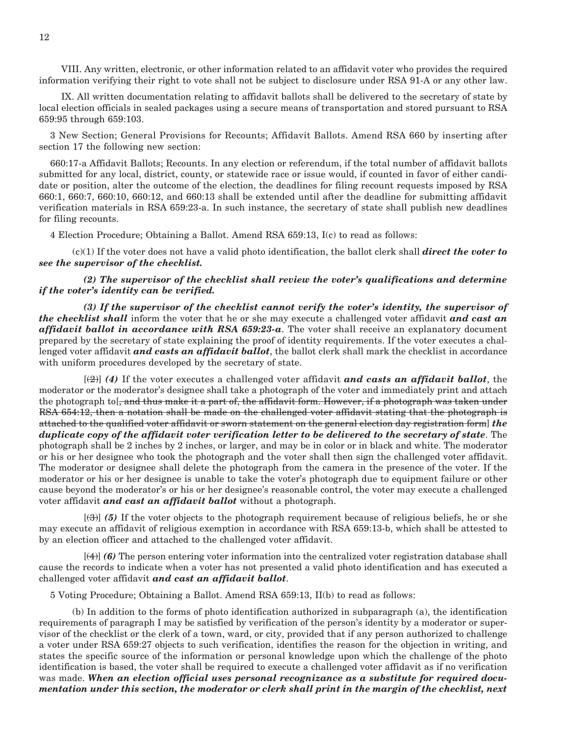VIII. Any written, electronic, or other information related to an affidavit voter who provides the required information verifying their right to vote shall not be subject to disclosure under RSA 91-A or any other law.

 IX. All written documentation relating to affidavit ballots shall be delivered to the secretary of state by local election officials in sealed packages using a secure means of transportation and stored pursuant to RSA 659:95 through 659:103.

3 New Section; General Provisions for Recounts; Affidavit Ballots. Amend RSA 660 by inserting after section 17 the following new section:

660:17-a Affidavit Ballots; Recounts. In any election or referendum, if the total number of affidavit ballots submitted for any local, district, county, or statewide race or issue would, if counted in favor of either candidate or position, alter the outcome of the election, the deadlines for filing recount requests imposed by RSA 660:1, 660:7, 660:10, 660:12, and 660:13 shall be extended until after the deadline for submitting affidavit verification materials in RSA 659:23-a. In such instance, the secretary of state shall publish new deadlines for filing recounts.

4 Election Procedure; Obtaining a Ballot. Amend RSA 659:13, I(c) to read as follows:

 (c)(1) If the voter does not have a valid photo identification, the ballot clerk shall *direct the voter to see the supervisor of the checklist.*

 *(2) The supervisor of the checklist shall review the voter's qualifications and determine if the voter's identity can be verified.*

 *(3) If the supervisor of the checklist cannot verify the voter's identity, the supervisor of the checklist shall* inform the voter that he or she may execute a challenged voter affidavit *and cast an affidavit ballot in accordance with RSA 659:23-a*. The voter shall receive an explanatory document prepared by the secretary of state explaining the proof of identity requirements. If the voter executes a challenged voter affidavit *and casts an affidavit ballot*, the ballot clerk shall mark the checklist in accordance with uniform procedures developed by the secretary of state.

 [(2)] *(4)* If the voter executes a challenged voter affidavit *and casts an affidavit ballot*, the moderator or the moderator's designee shall take a photograph of the voter and immediately print and attach the photograph to [, and thus make it a part of, the affidavit form. However, if a photograph was taken under RSA 654:12, then a notation shall be made on the challenged voter affidavit stating that the photograph is attached to the qualified voter affidavit or sworn statement on the general election day registration form] *the duplicate copy of the affidavit voter verification letter to be delivered to the secretary of state*. The photograph shall be 2 inches by 2 inches, or larger, and may be in color or in black and white. The moderator or his or her designee who took the photograph and the voter shall then sign the challenged voter affidavit. The moderator or designee shall delete the photograph from the camera in the presence of the voter. If the moderator or his or her designee is unable to take the voter's photograph due to equipment failure or other cause beyond the moderator's or his or her designee's reasonable control, the voter may execute a challenged voter affidavit *and cast an affidavit ballot* without a photograph.

 [(3)] *(5)* If the voter objects to the photograph requirement because of religious beliefs, he or she may execute an affidavit of religious exemption in accordance with RSA 659:13-b, which shall be attested to by an election officer and attached to the challenged voter affidavit.

 [(4)] *(6)* The person entering voter information into the centralized voter registration database shall cause the records to indicate when a voter has not presented a valid photo identification and has executed a challenged voter affidavit *and cast an affidavit ballot*.

5 Voting Procedure; Obtaining a Ballot. Amend RSA 659:13, II(b) to read as follows:

 (b) In addition to the forms of photo identification authorized in subparagraph (a), the identification requirements of paragraph I may be satisfied by verification of the person's identity by a moderator or supervisor of the checklist or the clerk of a town, ward, or city, provided that if any person authorized to challenge a voter under RSA 659:27 objects to such verification, identifies the reason for the objection in writing, and states the specific source of the information or personal knowledge upon which the challenge of the photo identification is based, the voter shall be required to execute a challenged voter affidavit as if no verification was made. *When an election official uses personal recognizance as a substitute for required documentation under this section, the moderator or clerk shall print in the margin of the checklist, next*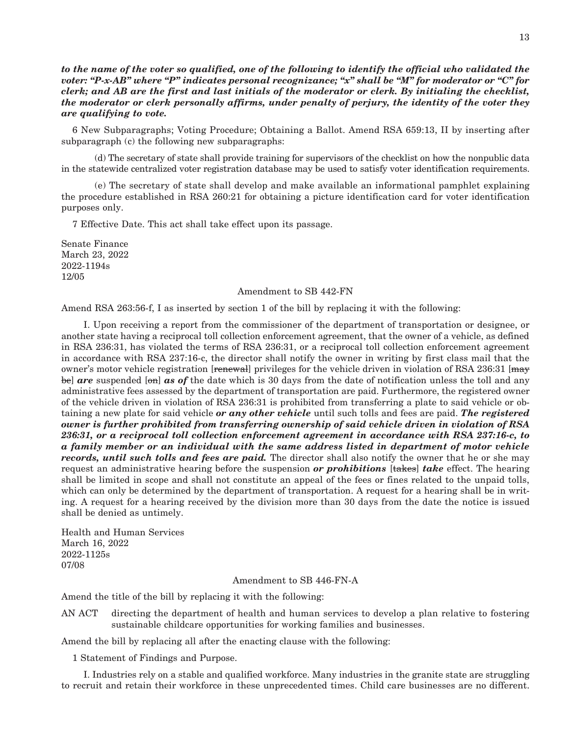*to the name of the voter so qualified, one of the following to identify the official who validated the voter: "P-x-AB" where "P" indicates personal recognizance; "x" shall be "M" for moderator or "C" for clerk; and AB are the first and last initials of the moderator or clerk. By initialing the checklist, the moderator or clerk personally affirms, under penalty of perjury, the identity of the voter they are qualifying to vote.*

6 New Subparagraphs; Voting Procedure; Obtaining a Ballot. Amend RSA 659:13, II by inserting after subparagraph (c) the following new subparagraphs:

 (d) The secretary of state shall provide training for supervisors of the checklist on how the nonpublic data in the statewide centralized voter registration database may be used to satisfy voter identification requirements.

 (e) The secretary of state shall develop and make available an informational pamphlet explaining the procedure established in RSA 260:21 for obtaining a picture identification card for voter identification purposes only.

7 Effective Date. This act shall take effect upon its passage.

Senate Finance March 23, 2022 2022-1194s 12/05

#### Amendment to SB 442-FN

Amend RSA 263:56-f, I as inserted by section 1 of the bill by replacing it with the following:

 I. Upon receiving a report from the commissioner of the department of transportation or designee, or another state having a reciprocal toll collection enforcement agreement, that the owner of a vehicle, as defined in RSA 236:31, has violated the terms of RSA 236:31, or a reciprocal toll collection enforcement agreement in accordance with RSA 237:16-c, the director shall notify the owner in writing by first class mail that the owner's motor vehicle registration [renewal] privileges for the vehicle driven in violation of RSA 236:31 [may be *are* suspended [on] *as* of the date which is 30 days from the date of notification unless the toll and any administrative fees assessed by the department of transportation are paid. Furthermore, the registered owner of the vehicle driven in violation of RSA 236:31 is prohibited from transferring a plate to said vehicle or obtaining a new plate for said vehicle *or any other vehicle* until such tolls and fees are paid. *The registered owner is further prohibited from transferring ownership of said vehicle driven in violation of RSA 236:31, or a reciprocal toll collection enforcement agreement in accordance with RSA 237:16-c, to a family member or an individual with the same address listed in department of motor vehicle records, until such tolls and fees are paid.* The director shall also notify the owner that he or she may request an administrative hearing before the suspension *or prohibitions* [takes] *take* effect. The hearing shall be limited in scope and shall not constitute an appeal of the fees or fines related to the unpaid tolls, which can only be determined by the department of transportation. A request for a hearing shall be in writing. A request for a hearing received by the division more than 30 days from the date the notice is issued shall be denied as untimely.

Health and Human Services March 16, 2022 2022-1125s 07/08

#### Amendment to SB 446-FN-A

Amend the title of the bill by replacing it with the following:

AN ACT directing the department of health and human services to develop a plan relative to fostering sustainable childcare opportunities for working families and businesses.

Amend the bill by replacing all after the enacting clause with the following:

1 Statement of Findings and Purpose.

 I. Industries rely on a stable and qualified workforce. Many industries in the granite state are struggling to recruit and retain their workforce in these unprecedented times. Child care businesses are no different.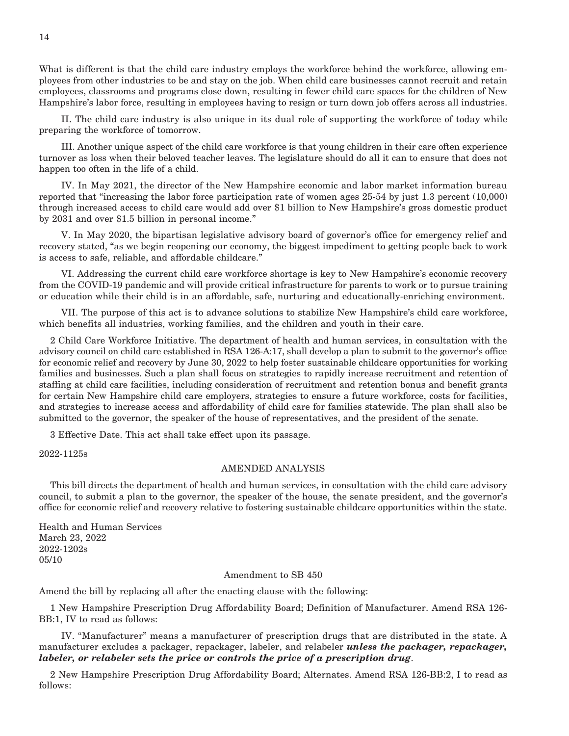What is different is that the child care industry employs the workforce behind the workforce, allowing employees from other industries to be and stay on the job. When child care businesses cannot recruit and retain employees, classrooms and programs close down, resulting in fewer child care spaces for the children of New Hampshire's labor force, resulting in employees having to resign or turn down job offers across all industries.

 II. The child care industry is also unique in its dual role of supporting the workforce of today while preparing the workforce of tomorrow.

 III. Another unique aspect of the child care workforce is that young children in their care often experience turnover as loss when their beloved teacher leaves. The legislature should do all it can to ensure that does not happen too often in the life of a child.

 IV. In May 2021, the director of the New Hampshire economic and labor market information bureau reported that "increasing the labor force participation rate of women ages 25-54 by just 1.3 percent (10,000) through increased access to child care would add over \$1 billion to New Hampshire's gross domestic product by 2031 and over \$1.5 billion in personal income."

 V. In May 2020, the bipartisan legislative advisory board of governor's office for emergency relief and recovery stated, "as we begin reopening our economy, the biggest impediment to getting people back to work is access to safe, reliable, and affordable childcare."

 VI. Addressing the current child care workforce shortage is key to New Hampshire's economic recovery from the COVID-19 pandemic and will provide critical infrastructure for parents to work or to pursue training or education while their child is in an affordable, safe, nurturing and educationally-enriching environment.

 VII. The purpose of this act is to advance solutions to stabilize New Hampshire's child care workforce, which benefits all industries, working families, and the children and youth in their care.

2 Child Care Workforce Initiative. The department of health and human services, in consultation with the advisory council on child care established in RSA 126-A:17, shall develop a plan to submit to the governor's office for economic relief and recovery by June 30, 2022 to help foster sustainable childcare opportunities for working families and businesses. Such a plan shall focus on strategies to rapidly increase recruitment and retention of staffing at child care facilities, including consideration of recruitment and retention bonus and benefit grants for certain New Hampshire child care employers, strategies to ensure a future workforce, costs for facilities, and strategies to increase access and affordability of child care for families statewide. The plan shall also be submitted to the governor, the speaker of the house of representatives, and the president of the senate.

3 Effective Date. This act shall take effect upon its passage.

2022-1125s

#### AMENDED ANALYSIS

This bill directs the department of health and human services, in consultation with the child care advisory council, to submit a plan to the governor, the speaker of the house, the senate president, and the governor's office for economic relief and recovery relative to fostering sustainable childcare opportunities within the state.

Health and Human Services March 23, 2022 2022-1202s 05/10

#### Amendment to SB 450

Amend the bill by replacing all after the enacting clause with the following:

1 New Hampshire Prescription Drug Affordability Board; Definition of Manufacturer. Amend RSA 126- BB:1, IV to read as follows:

 IV. "Manufacturer" means a manufacturer of prescription drugs that are distributed in the state. A manufacturer excludes a packager, repackager, labeler, and relabeler *unless the packager, repackager, labeler, or relabeler sets the price or controls the price of a prescription drug*.

2 New Hampshire Prescription Drug Affordability Board; Alternates. Amend RSA 126-BB:2, I to read as follows: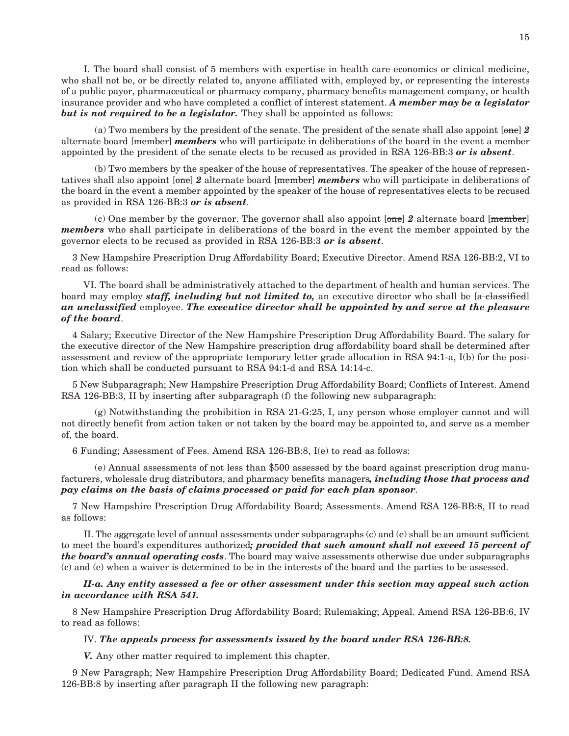I. The board shall consist of 5 members with expertise in health care economics or clinical medicine, who shall not be, or be directly related to, anyone affiliated with, employed by, or representing the interests of a public payor, pharmaceutical or pharmacy company, pharmacy benefits management company, or health insurance provider and who have completed a conflict of interest statement. *A member may be a legislator*  **but is not required to be a legislator.** They shall be appointed as follows:

 (a) Two members by the president of the senate. The president of the senate shall also appoint [one] *2*  alternate board [member] *members* who will participate in deliberations of the board in the event a member appointed by the president of the senate elects to be recused as provided in RSA 126-BB:3 *or is absent*.

 (b) Two members by the speaker of the house of representatives. The speaker of the house of representatives shall also appoint [one] *2* alternate board [member] *members* who will participate in deliberations of the board in the event a member appointed by the speaker of the house of representatives elects to be recused as provided in RSA 126-BB:3 *or is absent*.

 (c) One member by the governor. The governor shall also appoint [one] *2* alternate board [member] *members* who shall participate in deliberations of the board in the event the member appointed by the governor elects to be recused as provided in RSA 126-BB:3 *or is absent*.

3 New Hampshire Prescription Drug Affordability Board; Executive Director. Amend RSA 126-BB:2, VI to read as follows:

 VI. The board shall be administratively attached to the department of health and human services. The board may employ *staff, including but not limited to*, an executive director who shall be [a classified] *an unclassified* employee. *The executive director shall be appointed by and serve at the pleasure of the board*.

4 Salary; Executive Director of the New Hampshire Prescription Drug Affordability Board. The salary for the executive director of the New Hampshire prescription drug affordability board shall be determined after assessment and review of the appropriate temporary letter grade allocation in RSA 94:1-a, I(b) for the position which shall be conducted pursuant to RSA 94:1-d and RSA 14:14-c.

5 New Subparagraph; New Hampshire Prescription Drug Affordability Board; Conflicts of Interest. Amend RSA 126-BB:3, II by inserting after subparagraph (f) the following new subparagraph:

(g) Notwithstanding the prohibition in RSA 21-G:25, I, any person whose employer cannot and will not directly benefit from action taken or not taken by the board may be appointed to, and serve as a member of, the board.

6 Funding; Assessment of Fees. Amend RSA 126-BB:8, I(e) to read as follows:

 (e) Annual assessments of not less than \$500 assessed by the board against prescription drug manufacturers, wholesale drug distributors, and pharmacy benefits managers*, including those that process and pay claims on the basis of claims processed or paid for each plan sponsor*.

7 New Hampshire Prescription Drug Affordability Board; Assessments. Amend RSA 126-BB:8, II to read as follows:

 II. The aggregate level of annual assessments under subparagraphs (c) and (e) shall be an amount sufficient to meet the board's expenditures authorized*; provided that such amount shall not exceed 15 percent of the board's annual operating costs*. The board may waive assessments otherwise due under subparagraphs (c) and (e) when a waiver is determined to be in the interests of the board and the parties to be assessed.

 *II-a. Any entity assessed a fee or other assessment under this section may appeal such action in accordance with RSA 541.*

8 New Hampshire Prescription Drug Affordability Board; Rulemaking; Appeal. Amend RSA 126-BB:6, IV to read as follows:

#### IV. *The appeals process for assessments issued by the board under RSA 126-BB:8.*

 *V.* Any other matter required to implement this chapter.

9 New Paragraph; New Hampshire Prescription Drug Affordability Board; Dedicated Fund. Amend RSA 126-BB:8 by inserting after paragraph II the following new paragraph: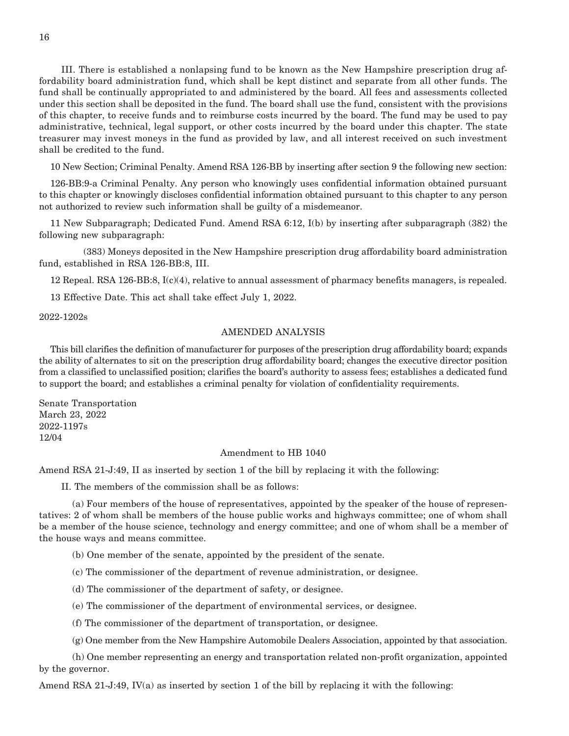III. There is established a nonlapsing fund to be known as the New Hampshire prescription drug affordability board administration fund, which shall be kept distinct and separate from all other funds. The fund shall be continually appropriated to and administered by the board. All fees and assessments collected under this section shall be deposited in the fund. The board shall use the fund, consistent with the provisions of this chapter, to receive funds and to reimburse costs incurred by the board. The fund may be used to pay administrative, technical, legal support, or other costs incurred by the board under this chapter. The state treasurer may invest moneys in the fund as provided by law, and all interest received on such investment shall be credited to the fund.

10 New Section; Criminal Penalty. Amend RSA 126-BB by inserting after section 9 the following new section:

126-BB:9-a Criminal Penalty. Any person who knowingly uses confidential information obtained pursuant to this chapter or knowingly discloses confidential information obtained pursuant to this chapter to any person not authorized to review such information shall be guilty of a misdemeanor.

11 New Subparagraph; Dedicated Fund. Amend RSA 6:12, I(b) by inserting after subparagraph (382) the following new subparagraph:

 (383) Moneys deposited in the New Hampshire prescription drug affordability board administration fund, established in RSA 126-BB:8, III.

12 Repeal. RSA 126-BB:8, I(c)(4), relative to annual assessment of pharmacy benefits managers, is repealed.

13 Effective Date. This act shall take effect July 1, 2022.

2022-1202s

#### AMENDED ANALYSIS

This bill clarifies the definition of manufacturer for purposes of the prescription drug affordability board; expands the ability of alternates to sit on the prescription drug affordability board; changes the executive director position from a classified to unclassified position; clarifies the board's authority to assess fees; establishes a dedicated fund to support the board; and establishes a criminal penalty for violation of confidentiality requirements.

Senate Transportation March 23, 2022 2022-1197s 12/04

#### Amendment to HB 1040

Amend RSA 21-J:49, II as inserted by section 1 of the bill by replacing it with the following:

II. The members of the commission shall be as follows:

 (a) Four members of the house of representatives, appointed by the speaker of the house of representatives: 2 of whom shall be members of the house public works and highways committee; one of whom shall be a member of the house science, technology and energy committee; and one of whom shall be a member of the house ways and means committee.

(b) One member of the senate, appointed by the president of the senate.

(c) The commissioner of the department of revenue administration, or designee.

(d) The commissioner of the department of safety, or designee.

(e) The commissioner of the department of environmental services, or designee.

(f) The commissioner of the department of transportation, or designee.

(g) One member from the New Hampshire Automobile Dealers Association, appointed by that association.

 (h) One member representing an energy and transportation related non-profit organization, appointed by the governor.

Amend RSA 21-J:49, IV(a) as inserted by section 1 of the bill by replacing it with the following: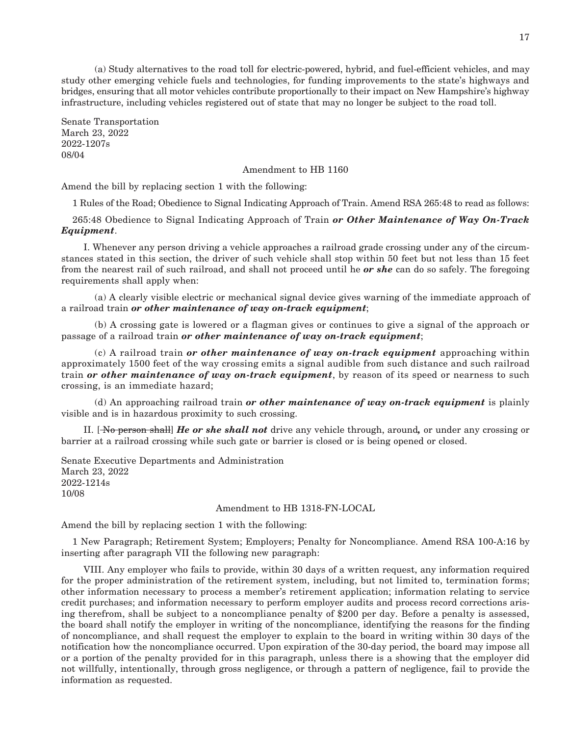(a) Study alternatives to the road toll for electric-powered, hybrid, and fuel-efficient vehicles, and may study other emerging vehicle fuels and technologies, for funding improvements to the state's highways and bridges, ensuring that all motor vehicles contribute proportionally to their impact on New Hampshire's highway infrastructure, including vehicles registered out of state that may no longer be subject to the road toll.

Senate Transportation March 23, 2022 2022-1207s 08/04

#### Amendment to HB 1160

Amend the bill by replacing section 1 with the following:

1 Rules of the Road; Obedience to Signal Indicating Approach of Train. Amend RSA 265:48 to read as follows:

265:48 Obedience to Signal Indicating Approach of Train *or Other Maintenance of Way On-Track Equipment*.

 I. Whenever any person driving a vehicle approaches a railroad grade crossing under any of the circumstances stated in this section, the driver of such vehicle shall stop within 50 feet but not less than 15 feet from the nearest rail of such railroad, and shall not proceed until he *or she* can do so safely. The foregoing requirements shall apply when:

 (a) A clearly visible electric or mechanical signal device gives warning of the immediate approach of a railroad train *or other maintenance of way on-track equipment*;

 (b) A crossing gate is lowered or a flagman gives or continues to give a signal of the approach or passage of a railroad train *or other maintenance of way on-track equipment*;

 (c) A railroad train *or other maintenance of way on-track equipment* approaching within approximately 1500 feet of the way crossing emits a signal audible from such distance and such railroad train *or other maintenance of way on-track equipment*, by reason of its speed or nearness to such crossing, is an immediate hazard;

 (d) An approaching railroad train *or other maintenance of way on-track equipment* is plainly visible and is in hazardous proximity to such crossing.

 II. [ No person shall] *He or she shall not* drive any vehicle through, around*,* or under any crossing or barrier at a railroad crossing while such gate or barrier is closed or is being opened or closed.

Senate Executive Departments and Administration March 23, 2022 2022-1214s 10/08

#### Amendment to HB 1318-FN-LOCAL

Amend the bill by replacing section 1 with the following:

1 New Paragraph; Retirement System; Employers; Penalty for Noncompliance. Amend RSA 100-A:16 by inserting after paragraph VII the following new paragraph:

 VIII. Any employer who fails to provide, within 30 days of a written request, any information required for the proper administration of the retirement system, including, but not limited to, termination forms; other information necessary to process a member's retirement application; information relating to service credit purchases; and information necessary to perform employer audits and process record corrections arising therefrom, shall be subject to a noncompliance penalty of \$200 per day. Before a penalty is assessed, the board shall notify the employer in writing of the noncompliance, identifying the reasons for the finding of noncompliance, and shall request the employer to explain to the board in writing within 30 days of the notification how the noncompliance occurred. Upon expiration of the 30-day period, the board may impose all or a portion of the penalty provided for in this paragraph, unless there is a showing that the employer did not willfully, intentionally, through gross negligence, or through a pattern of negligence, fail to provide the information as requested.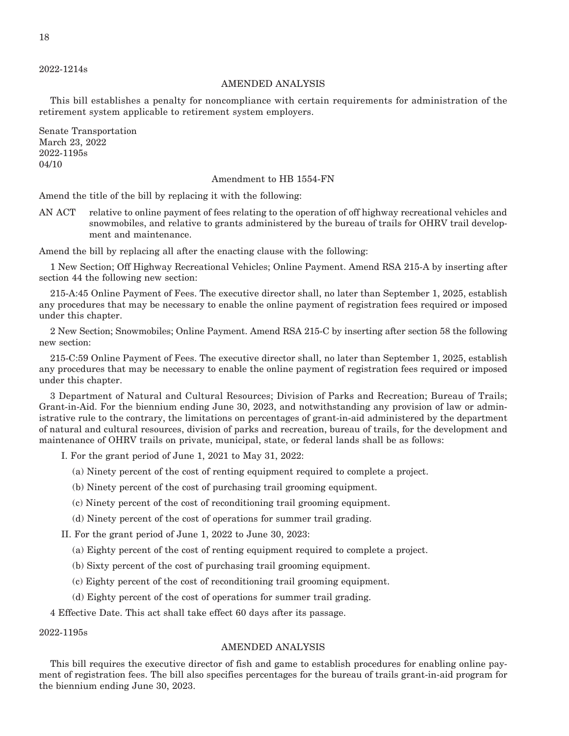2022-1214s

#### AMENDED ANALYSIS

This bill establishes a penalty for noncompliance with certain requirements for administration of the retirement system applicable to retirement system employers.

Senate Transportation March 23, 2022 2022-1195s 04/10

#### Amendment to HB 1554-FN

Amend the title of the bill by replacing it with the following:

AN ACT relative to online payment of fees relating to the operation of off highway recreational vehicles and snowmobiles, and relative to grants administered by the bureau of trails for OHRV trail development and maintenance.

Amend the bill by replacing all after the enacting clause with the following:

1 New Section; Off Highway Recreational Vehicles; Online Payment. Amend RSA 215-A by inserting after section 44 the following new section:

215-A:45 Online Payment of Fees. The executive director shall, no later than September 1, 2025, establish any procedures that may be necessary to enable the online payment of registration fees required or imposed under this chapter.

2 New Section; Snowmobiles; Online Payment. Amend RSA 215-C by inserting after section 58 the following new section:

215-C:59 Online Payment of Fees. The executive director shall, no later than September 1, 2025, establish any procedures that may be necessary to enable the online payment of registration fees required or imposed under this chapter.

3 Department of Natural and Cultural Resources; Division of Parks and Recreation; Bureau of Trails; Grant-in-Aid. For the biennium ending June 30, 2023, and notwithstanding any provision of law or administrative rule to the contrary, the limitations on percentages of grant-in-aid administered by the department of natural and cultural resources, division of parks and recreation, bureau of trails, for the development and maintenance of OHRV trails on private, municipal, state, or federal lands shall be as follows:

I. For the grant period of June 1, 2021 to May 31, 2022:

- (a) Ninety percent of the cost of renting equipment required to complete a project.
- (b) Ninety percent of the cost of purchasing trail grooming equipment.
- (c) Ninety percent of the cost of reconditioning trail grooming equipment.
- (d) Ninety percent of the cost of operations for summer trail grading.

II. For the grant period of June 1, 2022 to June 30, 2023:

- (a) Eighty percent of the cost of renting equipment required to complete a project.
- (b) Sixty percent of the cost of purchasing trail grooming equipment.
- (c) Eighty percent of the cost of reconditioning trail grooming equipment.
- (d) Eighty percent of the cost of operations for summer trail grading.

4 Effective Date. This act shall take effect 60 days after its passage.

#### 2022-1195s

#### AMENDED ANALYSIS

This bill requires the executive director of fish and game to establish procedures for enabling online payment of registration fees. The bill also specifies percentages for the bureau of trails grant-in-aid program for the biennium ending June 30, 2023.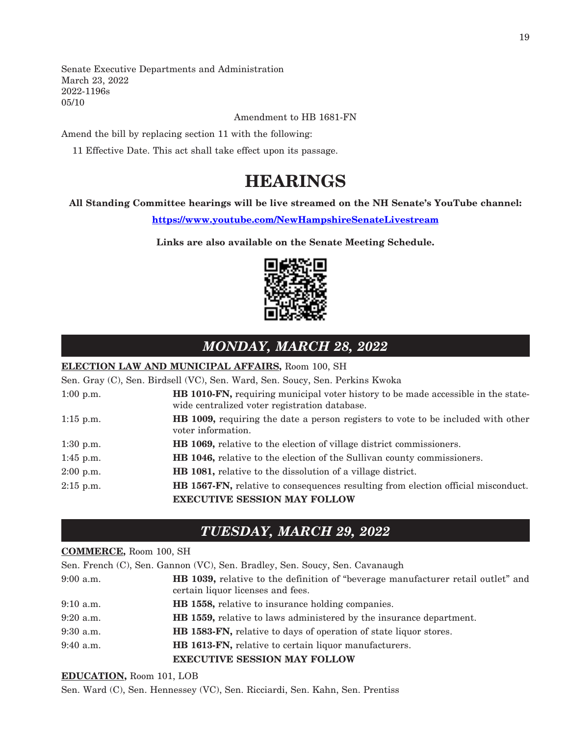Senate Executive Departments and Administration March 23, 2022 2022-1196s 05/10

Amendment to HB 1681-FN

Amend the bill by replacing section 11 with the following:

11 Effective Date. This act shall take effect upon its passage.

## **HEARINGS**

#### **All Standing Committee hearings will be live streamed on the NH Senate's YouTube channel:**

**<https://www.youtube.com/NewHampshireSenateLivestream>**

**Links are also available on the Senate Meeting Schedule.**



## *MONDAY, MARCH 28, 2022*

#### **ELECTION LAW AND MUNICIPAL AFFAIRS,** Room 100, SH

Sen. Gray (C), Sen. Birdsell (VC), Sen. Ward, Sen. Soucy, Sen. Perkins Kwoka

| $1:00$ p.m. | HB 1010-FN, requiring municipal voter history to be made accessible in the state-<br>wide centralized voter registration database. |
|-------------|------------------------------------------------------------------------------------------------------------------------------------|
| $1:15$ p.m. | <b>HB</b> 1009, requiring the date a person registers to vote to be included with other<br>voter information.                      |
| $1:30$ p.m. | <b>HB</b> 1069, relative to the election of village district commissioners.                                                        |
| $1:45$ p.m. | <b>HB 1046,</b> relative to the election of the Sullivan county commissioners.                                                     |
| $2:00$ p.m. | HB 1081, relative to the dissolution of a village district.                                                                        |
| $2:15$ p.m. | HB 1567-FN, relative to consequences resulting from election official misconduct.                                                  |
|             | <b>EXECUTIVE SESSION MAY FOLLOW</b>                                                                                                |

### *TUESDAY, MARCH 29, 2022*

#### **COMMERCE,** Room 100, SH

Sen. French (C), Sen. Gannon (VC), Sen. Bradley, Sen. Soucy, Sen. Cavanaugh 9:00 a.m. **HB 1039,** relative to the definition of "beverage manufacturer retail outlet" and certain liquor licenses and fees. 9:10 a.m. **HB 1558,** relative to insurance holding companies. 9:20 a.m. **HB 1559,** relative to laws administered by the insurance department. 9:30 a.m. **HB 1583-FN,** relative to days of operation of state liquor stores. 9:40 a.m. **HB 1613-FN,** relative to certain liquor manufacturers. **EXECUTIVE SESSION MAY FOLLOW**

#### **EDUCATION,** Room 101, LOB

Sen. Ward (C), Sen. Hennessey (VC), Sen. Ricciardi, Sen. Kahn, Sen. Prentiss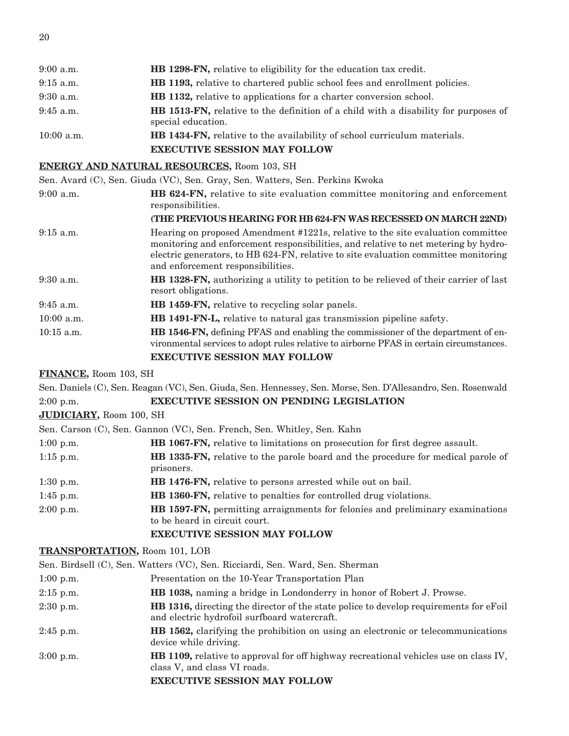| $9:00$ a.m.  | <b>HB</b> 1298-FN, relative to eligibility for the education tax credit.                                         |
|--------------|------------------------------------------------------------------------------------------------------------------|
| $9:15$ a.m.  | <b>HB 1193,</b> relative to chartered public school fees and enrollment policies.                                |
| $9:30$ a.m.  | <b>HB</b> 1132, relative to applications for a charter conversion school.                                        |
| $9:45$ a.m.  | <b>HB 1513-FN,</b> relative to the definition of a child with a disability for purposes of<br>special education. |
| $10:00$ a.m. | <b>HB 1434-FN,</b> relative to the availability of school curriculum materials.                                  |
|              | <b>EXECUTIVE SESSION MAY FOLLOW</b>                                                                              |

#### **ENERGY AND NATURAL RESOURCES,** Room 103, SH

Sen. Avard (C), Sen. Giuda (VC), Sen. Gray, Sen. Watters, Sen. Perkins Kwoka

9:00 a.m. **HB 624-FN,** relative to site evaluation committee monitoring and enforcement responsibilities.

|              | (THE PREVIOUS HEARING FOR HB 624-FN WAS RECESSED ON MARCH 22ND)                                                                                                                                                                                                                                    |  |
|--------------|----------------------------------------------------------------------------------------------------------------------------------------------------------------------------------------------------------------------------------------------------------------------------------------------------|--|
| $9:15$ a.m.  | Hearing on proposed Amendment #1221s, relative to the site evaluation committee<br>monitoring and enforcement responsibilities, and relative to net metering by hydro-<br>electric generators, to HB 624-FN, relative to site evaluation committee monitoring<br>and enforcement responsibilities. |  |
| $9:30$ a.m.  | HB 1328-FN, authorizing a utility to petition to be relieved of their carrier of last<br>resort obligations.                                                                                                                                                                                       |  |
| $9:45$ a.m.  | HB 1459-FN, relative to recycling solar panels.                                                                                                                                                                                                                                                    |  |
| $10:00$ a.m. | HB 1491-FN-L, relative to natural gas transmission pipeline safety.                                                                                                                                                                                                                                |  |
| $10:15$ a.m. | <b>HB 1546-FN,</b> defining PFAS and enabling the commissioner of the department of en-<br>vironmental services to adopt rules relative to airborne PFAS in certain circumstances.                                                                                                                 |  |
|              |                                                                                                                                                                                                                                                                                                    |  |

#### **EXECUTIVE SESSION MAY FOLLOW**

#### **FINANCE,** Room 103, SH

Sen. Daniels (C), Sen. Reagan (VC), Sen. Giuda, Sen. Hennessey, Sen. Morse, Sen. D'Allesandro, Sen. Rosenwald 2:00 p.m. **EXECUTIVE SESSION ON PENDING LEGISLATION**

#### **JUDICIARY,** Room 100, SH

Sen. Carson (C), Sen. Gannon (VC), Sen. French, Sen. Whitley, Sen. Kahn

| $1:00$ p.m. | <b>HB 1067-FN,</b> relative to limitations on prosecution for first degree assault.                                   |  |
|-------------|-----------------------------------------------------------------------------------------------------------------------|--|
| $1:15$ p.m. | <b>HB 1335-FN, relative to the parole board and the procedure for medical parole of</b><br>prisoners.                 |  |
| $1:30$ p.m. | HB 1476-FN, relative to persons arrested while out on bail.                                                           |  |
| $1:45$ p.m. | <b>HB 1360-FN,</b> relative to penalties for controlled drug violations.                                              |  |
| $2:00$ p.m. | <b>HB 1597-FN, permitting arraignments for felonies and preliminary examinations</b><br>to be heard in circuit court. |  |
|             | <b>EXECUTIVE SESSION MAY FOLLOW</b>                                                                                   |  |

#### **TRANSPORTATION,** Room 101, LOB

Sen. Birdsell (C), Sen. Watters (VC), Sen. Ricciardi, Sen. Ward, Sen. Sherman

- 1:00 p.m. Presentation on the 10-Year Transportation Plan
- 2:15 p.m. **HB 1038,** naming a bridge in Londonderry in honor of Robert J. Prowse.
- 2:30 p.m. **HB 1316,** directing the director of the state police to develop requirements for eFoil and electric hydrofoil surfboard watercraft.
- 2:45 p.m. **HB 1562,** clarifying the prohibition on using an electronic or telecommunications device while driving.
- 3:00 p.m. **HB 1109,** relative to approval for off highway recreational vehicles use on class IV, class V, and class VI roads.

#### **EXECUTIVE SESSION MAY FOLLOW**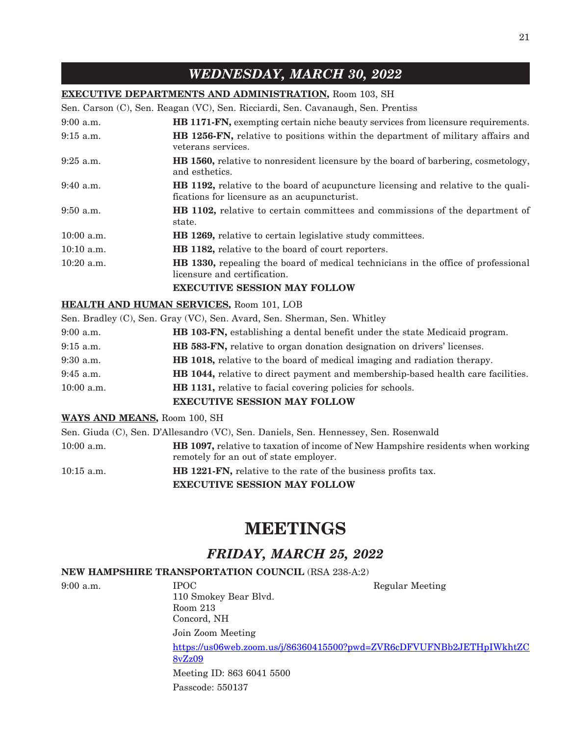## *WEDNESDAY, MARCH 30, 2022*

#### **EXECUTIVE DEPARTMENTS AND ADMINISTRATION,** Room 103, SH

Sen. Carson (C), Sen. Reagan (VC), Sen. Ricciardi, Sen. Cavanaugh, Sen. Prentiss

| $9:00$ a.m.  | HB 1171-FN, exempting certain niche beauty services from licensure requirements.                                                                                |
|--------------|-----------------------------------------------------------------------------------------------------------------------------------------------------------------|
| $9:15$ a.m.  | HB 1256-FN, relative to positions within the department of military affairs and<br>veterans services.                                                           |
| $9:25$ a.m.  | <b>HB 1560, relative to nonresident licensure by the board of barbering, cosmetology,</b><br>and esthetics.                                                     |
| $9:40$ a.m.  | <b>HB 1192,</b> relative to the board of acupuncture licensing and relative to the quali-<br>fications for licensure as an acupuncturist.                       |
| $9:50$ a.m.  | <b>HB 1102,</b> relative to certain committees and commissions of the department of<br>state.                                                                   |
| $10:00$ a.m. | <b>HB</b> 1269, relative to certain legislative study committees.                                                                                               |
| $10:10$ a.m. | <b>HB</b> 1182, relative to the board of court reporters.                                                                                                       |
| $10:20$ a.m. | <b>HB</b> 1330, repealing the board of medical technicians in the office of professional<br>licensure and certification.<br><b>EXECUTIVE SESSION MAY FOLLOW</b> |
|              |                                                                                                                                                                 |

#### **HEALTH AND HUMAN SERVICES,** Room 101, LOB

|             |              | Sen. Bradley (C), Sen. Gray (VC), Sen. Avard, Sen. Sherman, Sen. Whitley                |
|-------------|--------------|-----------------------------------------------------------------------------------------|
| $9:00$ a.m. |              | <b>HB 103-FN,</b> establishing a dental benefit under the state Medicaid program.       |
| $9:15$ a.m. |              | <b>HB 583-FN,</b> relative to organ donation designation on drivers' licenses.          |
| $9:30$ a.m. |              | <b>HB</b> 1018, relative to the board of medical imaging and radiation therapy.         |
| $9:45$ a.m. |              | <b>HB 1044, relative to direct payment and membership-based health care facilities.</b> |
|             | $10:00$ a.m. | <b>HB</b> 1131, relative to facial covering policies for schools.                       |
|             |              | <b>EXECUTIVE SESSION MAY FOLLOW</b>                                                     |

#### **WAYS AND MEANS,** Room 100, SH

|              | <b>EXECUTIVE SESSION MAY FOLLOW</b>                                                    |
|--------------|----------------------------------------------------------------------------------------|
| $10:15$ a.m. | <b>HB 1221-FN, relative to the rate of the business profits tax.</b>                   |
|              | remotely for an out of state employer.                                                 |
| $10:00$ a.m. | <b>HB 1097, relative to taxation of income of New Hampshire residents when working</b> |
|              | Sen. Giuda (C), Sen. D'Allesandro (VC), Sen. Daniels, Sen. Hennessey, Sen. Rosenwald   |

## **MEETINGS**

## *FRIDAY, MARCH 25, 2022*

#### **NEW HAMPSHIRE TRANSPORTATION COUNCIL** (RSA 238-A:2)

9:00 a.m. IPOC Regular Meeting 110 Smokey Bear Blvd. Room 213 Concord, NH Join Zoom Meeting [https://us06web.zoom.us/j/86360415500?pwd=ZVR6cDFVUFNBb2JETHpIWkhtZC](https://us06web.zoom.us/j/86360415500?pwd=ZVR6cDFVUFNBb2JETHpIWkhtZC8vZz09) [8vZz09](https://us06web.zoom.us/j/86360415500?pwd=ZVR6cDFVUFNBb2JETHpIWkhtZC8vZz09) Meeting ID: 863 6041 5500 Passcode: 550137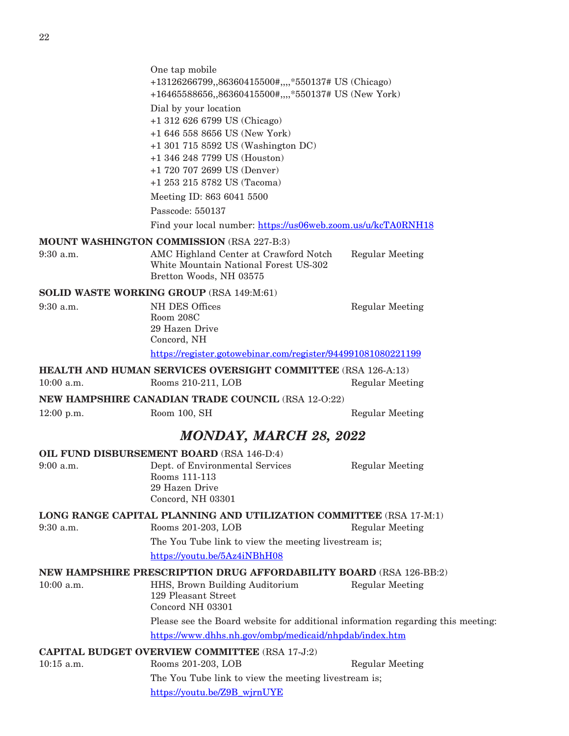|              | One tap mobile<br>+13126266799,,86360415500#,,,,*550137# US (Chicago)                                     |                        |
|--------------|-----------------------------------------------------------------------------------------------------------|------------------------|
|              | +16465588656,,86360415500#,,,,*550137# US (New York)                                                      |                        |
|              | Dial by your location                                                                                     |                        |
|              | +1 312 626 6799 US (Chicago)                                                                              |                        |
|              | +1 646 558 8656 US (New York)                                                                             |                        |
|              | +1 301 715 8592 US (Washington DC)                                                                        |                        |
|              | +1 346 248 7799 US (Houston)<br>+1 720 707 2699 US (Denver)                                               |                        |
|              | +1 253 215 8782 US (Tacoma)                                                                               |                        |
|              | Meeting ID: 863 6041 5500                                                                                 |                        |
|              | Passcode: 550137                                                                                          |                        |
|              | Find your local number: https://us06web.zoom.us/u/kcTA0RNH18                                              |                        |
|              | <b>MOUNT WASHINGTON COMMISSION (RSA 227-B:3)</b>                                                          |                        |
| 9:30 a.m.    | AMC Highland Center at Crawford Notch<br>White Mountain National Forest US-302<br>Bretton Woods, NH 03575 | <b>Regular Meeting</b> |
|              | SOLID WASTE WORKING GROUP (RSA 149:M:61)                                                                  |                        |
| $9:30$ a.m.  | <b>NH DES Offices</b>                                                                                     | <b>Regular Meeting</b> |
|              | Room 208C<br>29 Hazen Drive                                                                               |                        |
|              | Concord, NH                                                                                               |                        |
|              | https://register.gotowebinar.com/register/944991081080221199                                              |                        |
|              | <b>HEALTH AND HUMAN SERVICES OVERSIGHT COMMITTEE</b> (RSA 126-A:13)                                       |                        |
| $10:00$ a.m. | Rooms 210-211, LOB                                                                                        | <b>Regular Meeting</b> |
|              | NEW HAMPSHIRE CANADIAN TRADE COUNCIL (RSA 12-0:22)                                                        |                        |
| $12:00$ p.m. | Room 100, SH                                                                                              | <b>Regular Meeting</b> |
|              | <b>MONDAY, MARCH 28, 2022</b>                                                                             |                        |
|              | OIL FUND DISBURSEMENT BOARD (RSA 146-D:4)                                                                 |                        |
| $9:00$ a.m.  | Dept. of Environmental Services                                                                           | <b>Regular Meeting</b> |
|              | Rooms 111-113<br>29 Hazen Drive                                                                           |                        |
|              | Concord, NH 03301                                                                                         |                        |
|              | LONG RANGE CAPITAL PLANNING AND UTILIZATION COMMITTEE (RSA 17-M:1)                                        |                        |
| $9:30$ a.m.  | Rooms 201-203, LOB                                                                                        | <b>Regular Meeting</b> |
|              | The You Tube link to view the meeting livestream is;                                                      |                        |
|              | https://youtu.be/5Az4iNBhH08                                                                              |                        |
|              | <b>NEW HAMPSHIRE PRESCRIPTION DRUG AFFORDABILITY BOARD (RSA 126-BB:2)</b>                                 |                        |
| $10:00$ a.m. | HHS, Brown Building Auditorium<br>129 Pleasant Street<br>Concord NH 03301                                 | <b>Regular Meeting</b> |
|              | Please see the Board website for additional information regarding this meeting:                           |                        |
|              | https://www.dhhs.nh.gov/ombp/medicaid/nhpdab/index.htm                                                    |                        |
|              | <b>CAPITAL BUDGET OVERVIEW COMMITTEE (RSA 17-J:2)</b>                                                     |                        |
|              |                                                                                                           |                        |

10:15 a.m. Rooms 201-203, LOB Regular Meeting The You Tube link to view the meeting livestream is; [https://youtu.be/Z9B\\_wjrnUYE](https://youtu.be/Z9B_wjrnUYE)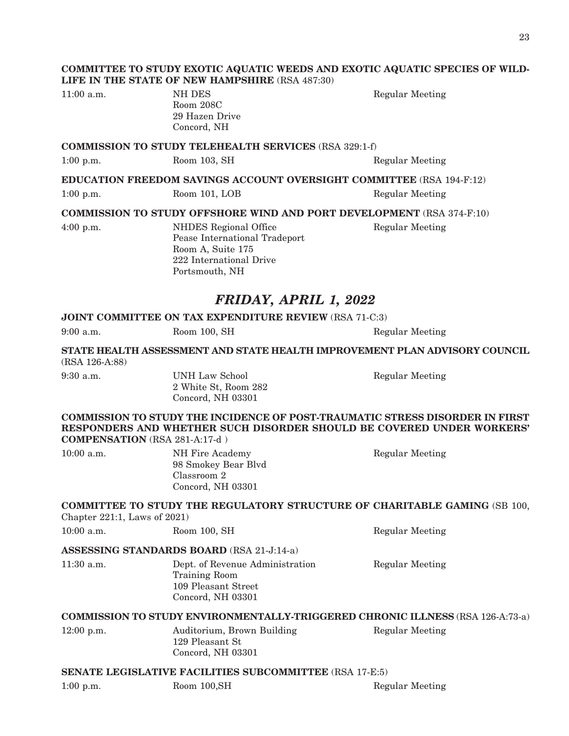#### **COMMITTEE TO STUDY EXOTIC AQUATIC WEEDS AND EXOTIC AQUATIC SPECIES OF WILD-LIFE IN THE STATE OF NEW HAMPSHIRE** (RSA 487:30)

11:00 a.m. NH DES Regular Meeting Room 208C 29 Hazen Drive Concord, NH

#### **COMMISSION TO STUDY TELEHEALTH SERVICES** (RSA 329:1-f)

1:00 p.m. Room 103, SH Regular Meeting

#### **EDUCATION FREEDOM SAVINGS ACCOUNT OVERSIGHT COMMITTEE** (RSA 194-F:12)

1:00 p.m. Room 101, LOB Regular Meeting

**COMMISSION TO STUDY OFFSHORE WIND AND PORT DEVELOPMENT** (RSA 374-F:10)

4:00 p.m. NHDES Regional Office Regular Meeting Pease International Tradeport Room A, Suite 175 222 International Drive Portsmouth, NH

### *FRIDAY, APRIL 1, 2022*

**JOINT COMMITTEE ON TAX EXPENDITURE REVIEW** (RSA 71-C:3)

| $9:00$ a.m.    | Room 100, SH                                                               | Regular Meeting |
|----------------|----------------------------------------------------------------------------|-----------------|
| (RSA 126-A:88) | STATE HEALTH ASSESSMENT AND STATE HEALTH IMPROVEMENT PLAN ADVISORY COUNCIL |                 |
| $9:30$ a.m.    | UNH Law School<br>2 White St, Room 282<br>Concord. NH 03301                | Regular Meeting |

**COMMISSION TO STUDY THE INCIDENCE OF POST-TRAUMATIC STRESS DISORDER IN FIRST RESPONDERS AND WHETHER SUCH DISORDER SHOULD BE COVERED UNDER WORKERS' COMPENSATION** (RSA 281-A:17-d )

| $10:00$ a.m. | NH Fire Academy<br>98 Smokey Bear Blyd | Regular Meeting |
|--------------|----------------------------------------|-----------------|
|              | Classroom 2<br>Concord, NH 03301       |                 |

## **COMMITTEE TO STUDY THE REGULATORY STRUCTURE OF CHARITABLE GAMING** (SB 100,

Chapter 221:1, Laws of 2021)

10:00 a.m. Room 100, SH Regular Meeting

#### **ASSESSING STANDARDS BOARD** (RSA 21-J:14-a)

11:30 a.m. Dept. of Revenue Administration Regular Meeting Training Room 109 Pleasant Street Concord, NH 03301

#### **COMMISSION TO STUDY ENVIRONMENTALLY-TRIGGERED CHRONIC ILLNESS** (RSA 126-A:73-a)

12:00 p.m. Auditorium, Brown Building Regular Meeting 129 Pleasant St Concord, NH 03301

#### **SENATE LEGISLATIVE FACILITIES SUBCOMMITTEE** (RSA 17-E:5)

1:00 p.m. Room 100, SH Regular Meeting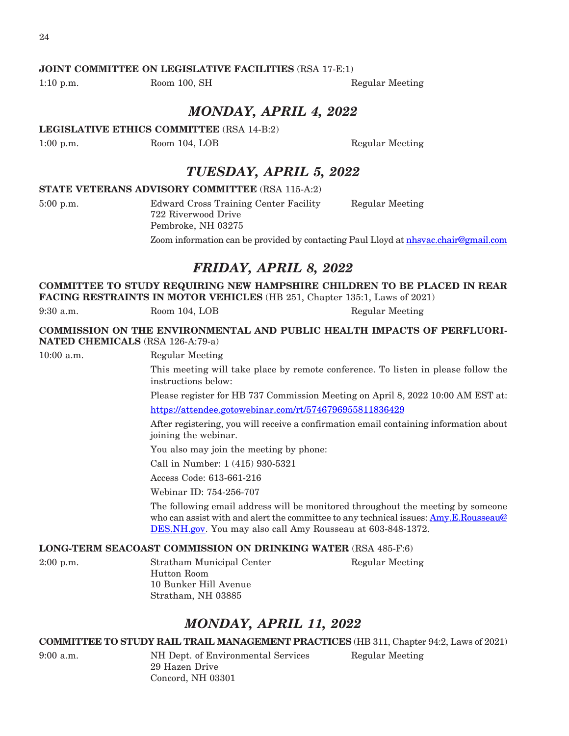### **JOINT COMMITTEE ON LEGISLATIVE FACILITIES** (RSA 17-E:1)

1:10 p.m. Room 100, SH Regular Meeting

### *MONDAY, APRIL 4, 2022*

**LEGISLATIVE ETHICS COMMITTEE** (RSA 14-B:2)

1:00 p.m. Room 104, LOB Regular Meeting

## *TUESDAY, APRIL 5, 2022*

#### **STATE VETERANS ADVISORY COMMITTEE** (RSA 115-A:2)

5:00 p.m. Edward Cross Training Center Facility Regular Meeting 722 Riverwood Drive Pembroke, NH 03275

Zoom information can be provided by contacting Paul Lloyd at [nhsvac.chair@gmail.com](mailto:nhsvac.chair@gmail.com)

## *FRIDAY, APRIL 8, 2022*

**COMMITTEE TO STUDY REQUIRING NEW HAMPSHIRE CHILDREN TO BE PLACED IN REAR FACING RESTRAINTS IN MOTOR VEHICLES** (HB 251, Chapter 135:1, Laws of 2021)

9:30 a.m. Room 104, LOB Regular Meeting

**COMMISSION ON THE ENVIRONMENTAL AND PUBLIC HEALTH IMPACTS OF PERFLUORI-NATED CHEMICALS** (RSA 126-A:79-a)

10:00 a.m. Regular Meeting

This meeting will take place by remote conference. To listen in please follow the instructions below:

Please register for HB 737 Commission Meeting on April 8, 2022 10:00 AM EST at: <https://attendee.gotowebinar.com/rt/5746796955811836429>

After registering, you will receive a confirmation email containing information about joining the webinar.

You also may join the meeting by phone:

Call in Number: 1 (415) 930-5321

Access Code: 613-661-216

Webinar ID: 754-256-707

The following email address will be monitored throughout the meeting by someone who can assist with and alert the committee to any technical issues: [Amy.E.Rousseau@](mailto:Amy.E.Rousseau@DES.NH.gov) [DES.NH.gov](mailto:Amy.E.Rousseau@DES.NH.gov). You may also call Amy Rousseau at 603-848-1372.

#### **LONG-TERM SEACOAST COMMISSION ON DRINKING WATER** (RSA 485-F:6)

2:00 p.m. Stratham Municipal Center Regular Meeting Hutton Room 10 Bunker Hill Avenue Stratham, NH 03885

## *MONDAY, APRIL 11, 2022*

**COMMITTEE TO STUDY RAIL TRAIL MANAGEMENT PRACTICES** (HB 311, Chapter 94:2, Laws of 2021)

9:00 a.m. NH Dept. of Environmental Services Regular Meeting 29 Hazen Drive Concord, NH 03301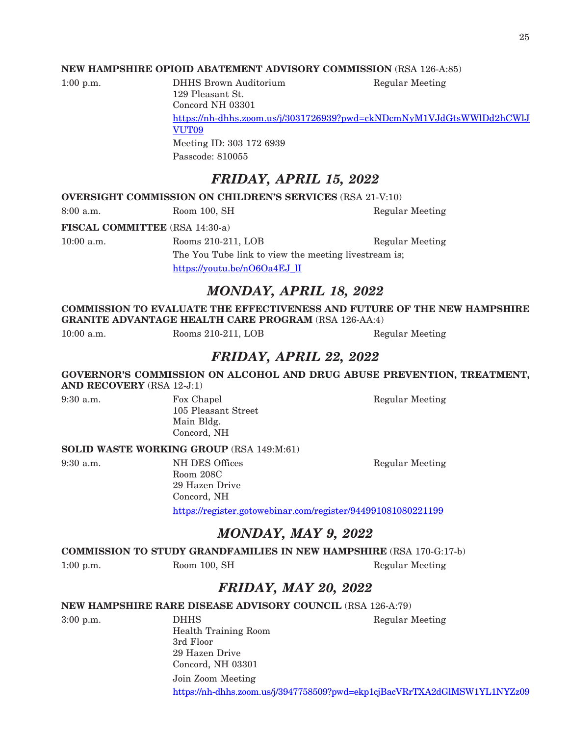#### **NEW HAMPSHIRE OPIOID ABATEMENT ADVISORY COMMISSION** (RSA 126-A:85)

|  | $1:00$ p.m. |
|--|-------------|
|--|-------------|

DHHS Brown Auditorium Regular Meeting 129 Pleasant St. Concord NH 03301 [https://nh-dhhs.zoom.us/j/3031726939?pwd=ckNDcmNyM1VJdGtsWWlDd2hCWlJ](https://nh-dhhs.zoom.us/j/3031726939?pwd=ckNDcmNyM1VJdGtsWWlDd2hCWlJVUT09) [VUT09](https://nh-dhhs.zoom.us/j/3031726939?pwd=ckNDcmNyM1VJdGtsWWlDd2hCWlJVUT09) Meeting ID: 303 172 6939 Passcode: 810055

## *FRIDAY, APRIL 15, 2022*

**OVERSIGHT COMMISSION ON CHILDREN'S SERVICES** (RSA 21-V:10)

8:00 a.m. Room 100, SH Regular Meeting

**FISCAL COMMITTEE** (RSA 14:30-a)

10:00 a.m. Rooms 210-211, LOB Regular Meeting

The You Tube link to view the meeting livestream is; [https://youtu.be/nO6Oa4EJ\\_lI](https://youtu.be/nO6Oa4EJ_lI)

### *MONDAY, APRIL 18, 2022*

**COMMISSION TO EVALUATE THE EFFECTIVENESS AND FUTURE OF THE NEW HAMPSHIRE GRANITE ADVANTAGE HEALTH CARE PROGRAM** (RSA 126-AA:4)

10:00 a.m. Rooms 210-211, LOB Regular Meeting

## *FRIDAY, APRIL 22, 2022*

**GOVERNOR'S COMMISSION ON ALCOHOL AND DRUG ABUSE PREVENTION, TREATMENT, AND RECOVERY** (RSA 12-J:1)

105 Pleasant Street Main Bldg. Concord, NH

9:30 a.m. Fox Chapel Regular Meeting

#### **SOLID WASTE WORKING GROUP** (RSA 149:M:61)

9:30 a.m. NH DES Offices Regular Meeting Room 208C 29 Hazen Drive Concord, NH https://register.gotowebinar.com/register/944991081080221199

### *MONDAY, MAY 9, 2022*

#### **COMMISSION TO STUDY GRANDFAMILIES IN NEW HAMPSHIRE** (RSA 170-G:17-b)

1:00 p.m. Room 100, SH Regular Meeting

## *FRIDAY, MAY 20, 2022*

#### **NEW HAMPSHIRE RARE DISEASE ADVISORY COUNCIL** (RSA 126-A:79)

3:00 p.m. **DHHS** DHHS Regular Meeting Health Training Room 3rd Floor 29 Hazen Drive Concord, NH 03301 Join Zoom Meeting

<https://nh-dhhs.zoom.us/j/3947758509?pwd=ekp1cjBacVRrTXA2dGlMSW1YL1NYZz09>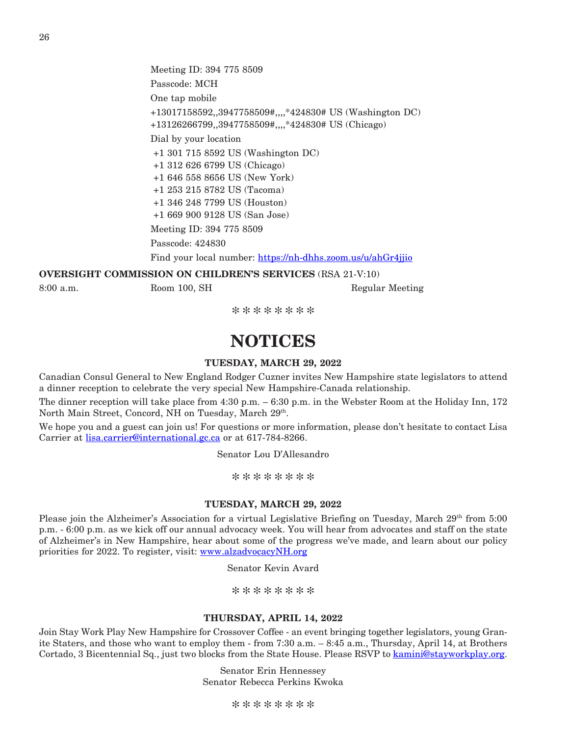Meeting ID: 394 775 8509 Passcode: MCH One tap mobile +13017158592,,3947758509#,,,,\*424830# US (Washington DC) +13126266799,,3947758509#,,,,\*424830# US (Chicago) Dial by your location +1 301 715 8592 US (Washington DC) +1 312 626 6799 US (Chicago) +1 646 558 8656 US (New York) +1 253 215 8782 US (Tacoma) +1 346 248 7799 US (Houston) +1 669 900 9128 US (San Jose) Meeting ID: 394 775 8509 Passcode: 424830 Find your local number: <https://nh-dhhs.zoom.us/u/ahGr4jjio>

#### **OVERSIGHT COMMISSION ON CHILDREN'S SERVICES** (RSA 21-V:10)

8:00 a.m. Room 100, SH Regular Meeting

\*\*\*\*\*\*\*\*

## **NOTICES**

#### **TUESDAY, MARCH 29, 2022**

Canadian Consul General to New England Rodger Cuzner invites New Hampshire state legislators to attend a dinner reception to celebrate the very special New Hampshire-Canada relationship.

The dinner reception will take place from 4:30 p.m. – 6:30 p.m. in the Webster Room at the Holiday Inn, 172 North Main Street, Concord, NH on Tuesday, March 29th.

We hope you and a guest can join us! For questions or more information, please don't hesitate to contact Lisa Carrier at [lisa.carrier@international.gc.ca](mailto:lisa.carrier@international.gc.ca) or at 617-784-8266.

Senator Lou D'Allesandro

\*\*\*\*\*\*\*\*

#### **TUESDAY, MARCH 29, 2022**

Please join the Alzheimer's Association for a virtual Legislative Briefing on Tuesday, March 29<sup>th</sup> from 5:00 p.m. - 6:00 p.m. as we kick off our annual advocacy week. You will hear from advocates and staff on the state of Alzheimer's in New Hampshire, hear about some of the progress we've made, and learn about our policy priorities for 2022. To register, visit: [www.alzadvocacyNH.org](https://us-east-2.protection.sophos.com?d=alzadvocacynh.org&u=aHR0cDovL3d3dy5hbHphZHZvY2FjeU5ILm9yZw==&i=NWRlZTQ5ZjExZDY0YzcwZGFjNjE0MWMw&t=WUYyL29JcXN3c3FVRHJHS09aRXpYU25aL3FDMVdrZ2ZFbUEzNlFHMVFPbz0=&h=45d90a01dbf546e6af77727af255f80a)

Senator Kevin Avard

\*\*\*\*\*\*\*\*

#### **THURSDAY, APRIL 14, 2022**

Join Stay Work Play New Hampshire for Crossover Coffee - an event bringing together legislators, young Granite Staters, and those who want to employ them - from 7:30 a.m. – 8:45 a.m., Thursday, April 14, at Brothers Cortado, 3 Bicentennial Sq., just two blocks from the State House. Please RSVP to [kamini@stayworkplay.org](mailto:kamini@stayworkplay.org).

> Senator Erin Hennessey Senator Rebecca Perkins Kwoka